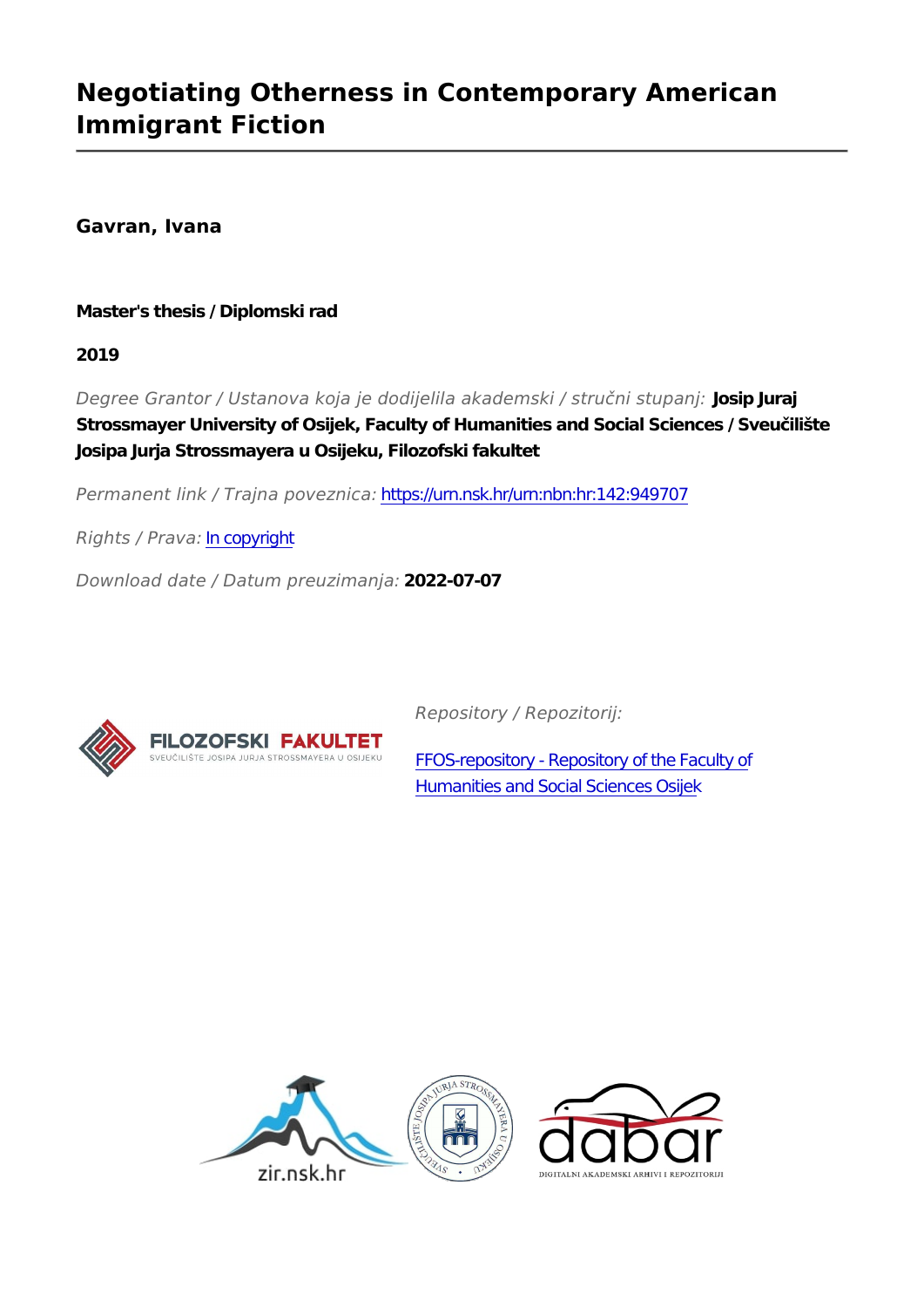### **Negotiating Otherness in Contemporary American Immigrant Fiction**

**Gavran, Ivana**

**Master's thesis / Diplomski rad**

**2019**

*Degree Grantor / Ustanova koja je dodijelila akademski / stručni stupanj:* **Josip Juraj Strossmayer University of Osijek, Faculty of Humanities and Social Sciences / Sveučilište Josipa Jurja Strossmayera u Osijeku, Filozofski fakultet**

*Permanent link / Trajna poveznica:* <https://urn.nsk.hr/urn:nbn:hr:142:949707>

*Rights / Prava:* [In copyright](http://rightsstatements.org/vocab/InC/1.0/)

*Download date / Datum preuzimanja:* **2022-07-07**



*Repository / Repozitorij:*

[FFOS-repository - Repository of the Faculty of](https://repozitorij.ffos.hr) [Humanities and Social Sciences Osijek](https://repozitorij.ffos.hr)

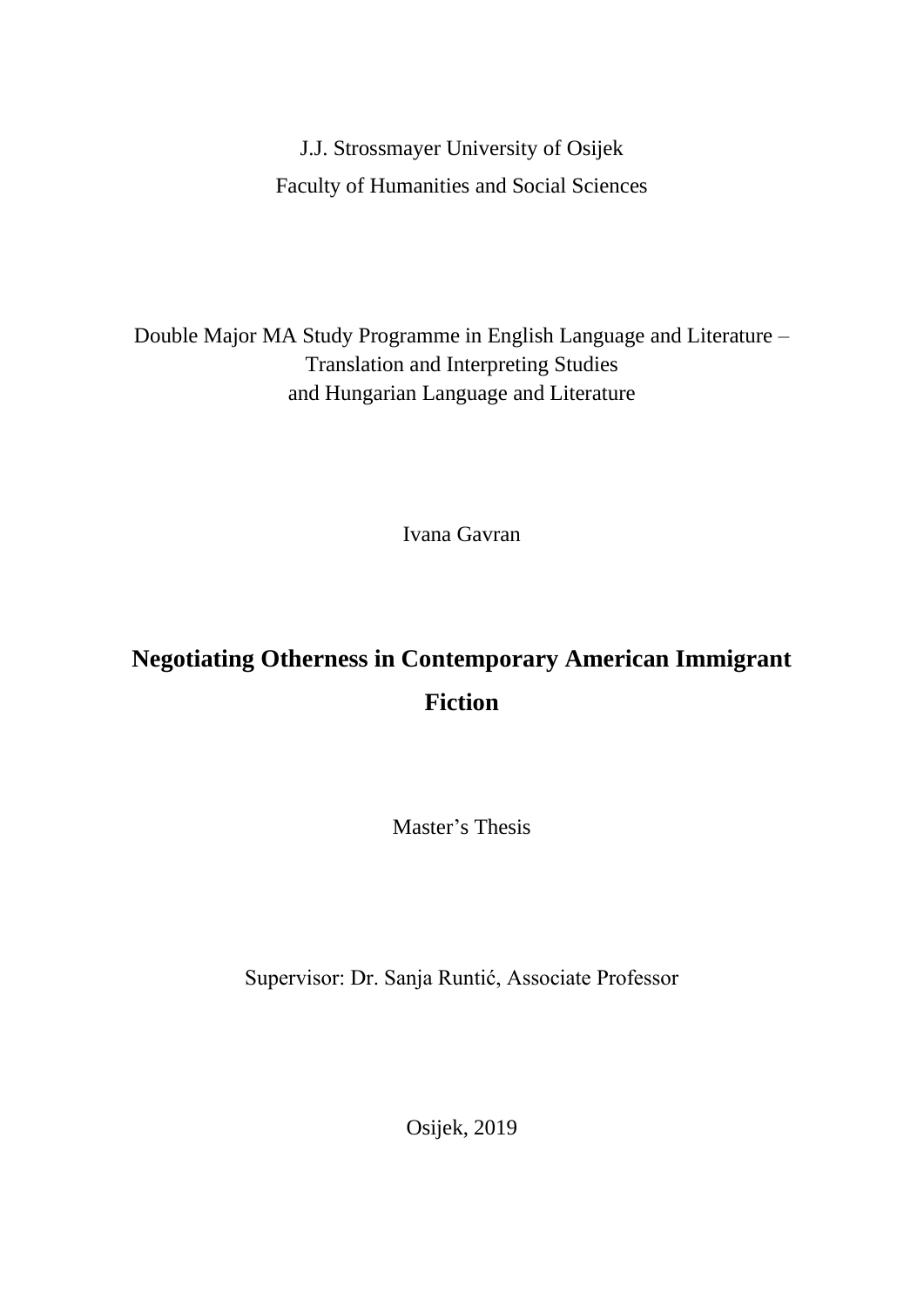### J.J. Strossmayer University of Osijek Faculty of Humanities and Social Sciences

Double Major MA Study Programme in English Language and Literature – Translation and Interpreting Studies and Hungarian Language and Literature

Ivana Gavran

## **Negotiating Otherness in Contemporary American Immigrant Fiction**

Master's Thesis

Supervisor: Dr. Sanja Runtić, Associate Professor

Osijek, 2019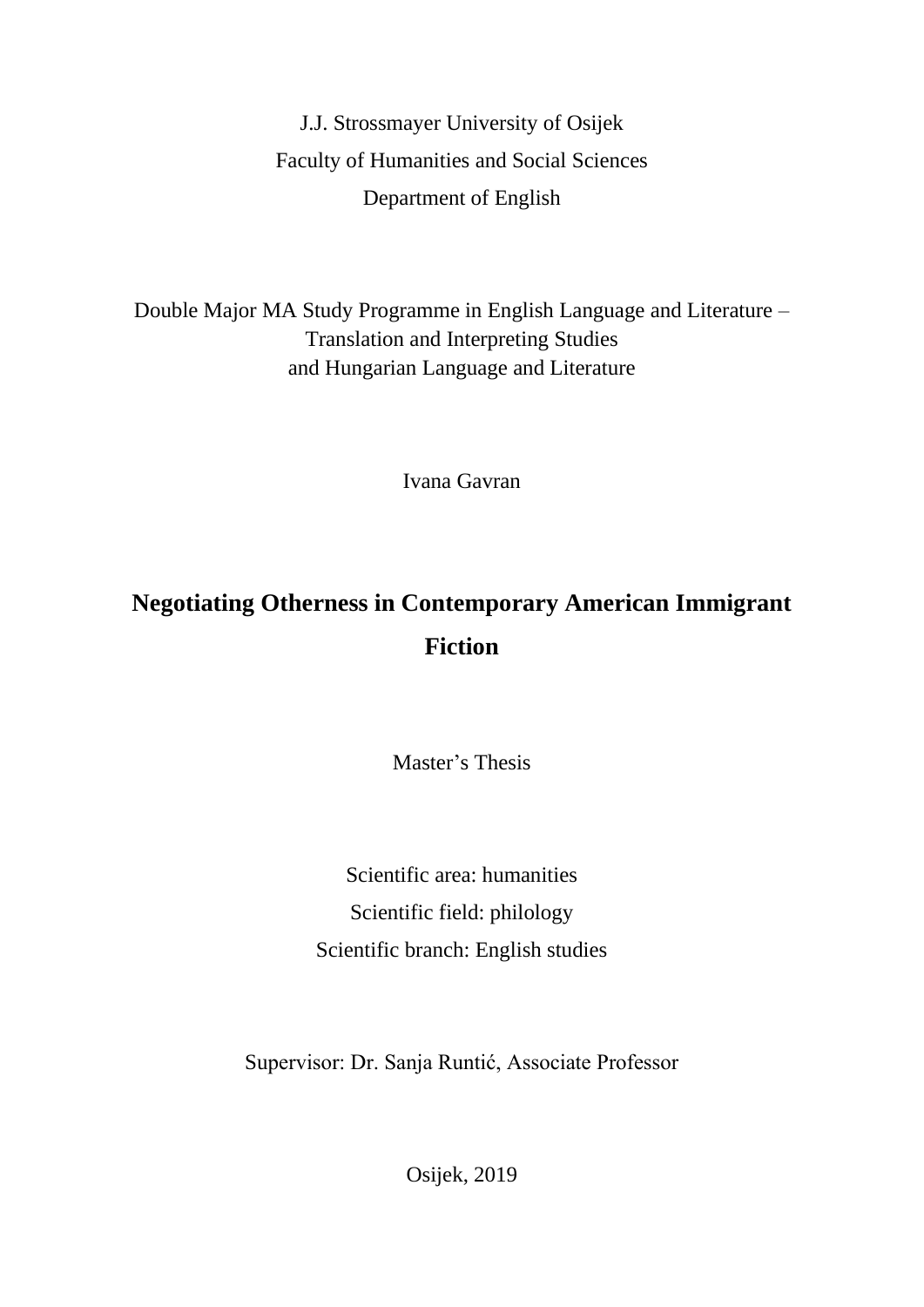J.J. Strossmayer University of Osijek Faculty of Humanities and Social Sciences Department of English

Double Major MA Study Programme in English Language and Literature – Translation and Interpreting Studies and Hungarian Language and Literature

Ivana Gavran

## **Negotiating Otherness in Contemporary American Immigrant Fiction**

Master's Thesis

Scientific area: humanities Scientific field: philology Scientific branch: English studies

Supervisor: Dr. Sanja Runtić, Associate Professor

Osijek, 2019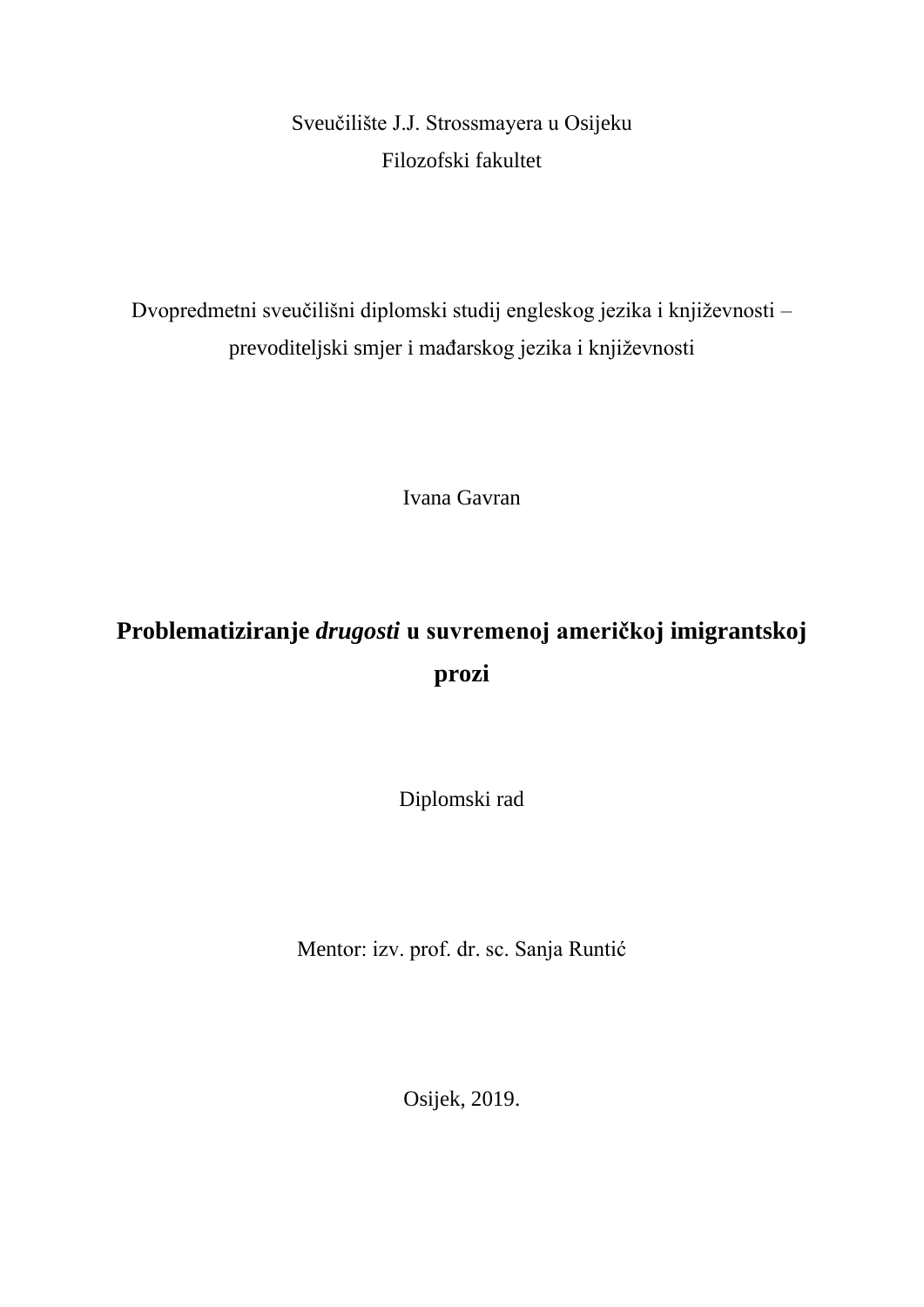Sveučilište J.J. Strossmayera u Osijeku Filozofski fakultet

Dvopredmetni sveučilišni diplomski studij engleskog jezika i književnosti – prevoditeljski smjer i mađarskog jezika i književnosti

Ivana Gavran

# **Problematiziranje** *drugosti* **u suvremenoj američkoj imigrantskoj prozi**

Diplomski rad

Mentor: izv. prof. dr. sc. Sanja Runtić

Osijek, 2019.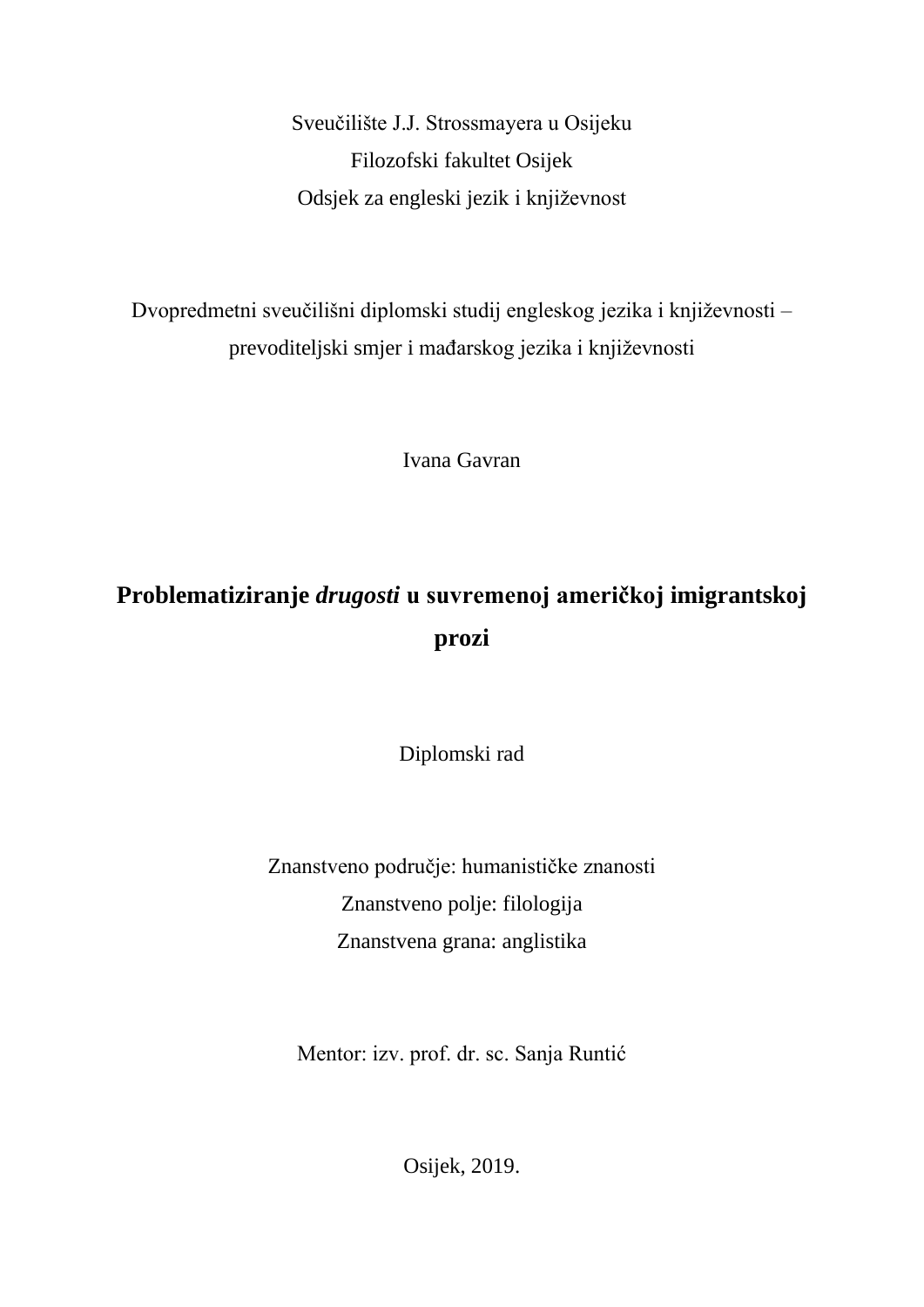Sveučilište J.J. Strossmayera u Osijeku Filozofski fakultet Osijek Odsjek za engleski jezik i književnost

Dvopredmetni sveučilišni diplomski studij engleskog jezika i književnosti – prevoditeljski smjer i mađarskog jezika i književnosti

Ivana Gavran

# **Problematiziranje** *drugosti* **u suvremenoj američkoj imigrantskoj prozi**

Diplomski rad

Znanstveno područje: humanističke znanosti Znanstveno polje: filologija Znanstvena grana: anglistika

Mentor: izv. prof. dr. sc. Sanja Runtić

Osijek, 2019.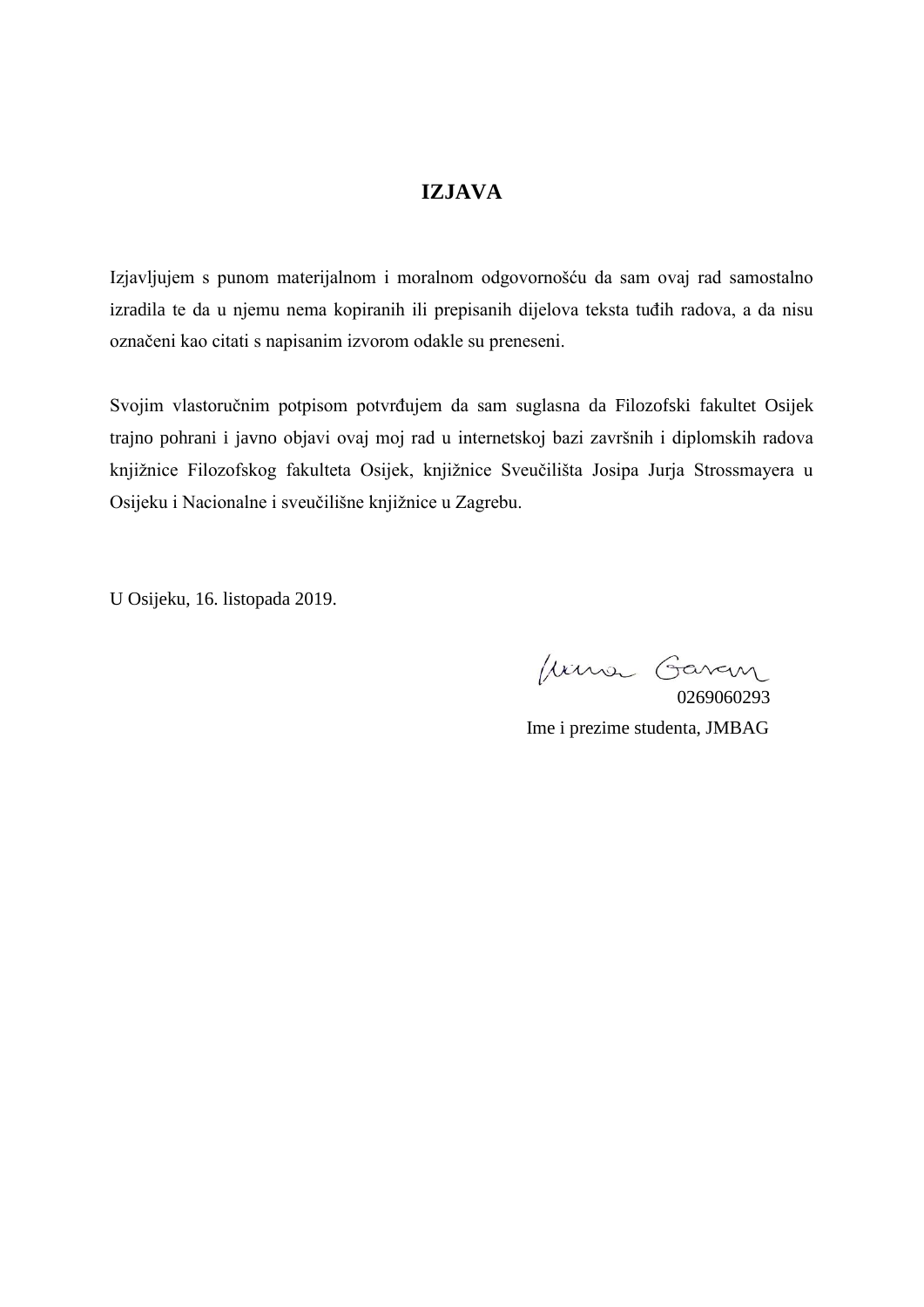#### **IZJAVA**

Izjavljujem s punom materijalnom i moralnom odgovornošću da sam ovaj rad samostalno izradila te da u njemu nema kopiranih ili prepisanih dijelova teksta tuđih radova, a da nisu označeni kao citati s napisanim izvorom odakle su preneseni.

Svojim vlastoručnim potpisom potvrđujem da sam suglasna da Filozofski fakultet Osijek trajno pohrani i javno objavi ovaj moj rad u internetskoj bazi završnih i diplomskih radova knjižnice Filozofskog fakulteta Osijek, knjižnice Sveučilišta Josipa Jurja Strossmayera u Osijeku i Nacionalne i sveučilišne knjižnice u Zagrebu.

U Osijeku, 16. listopada 2019.

Juna Gavan

0269060293 Ime i prezime studenta, JMBAG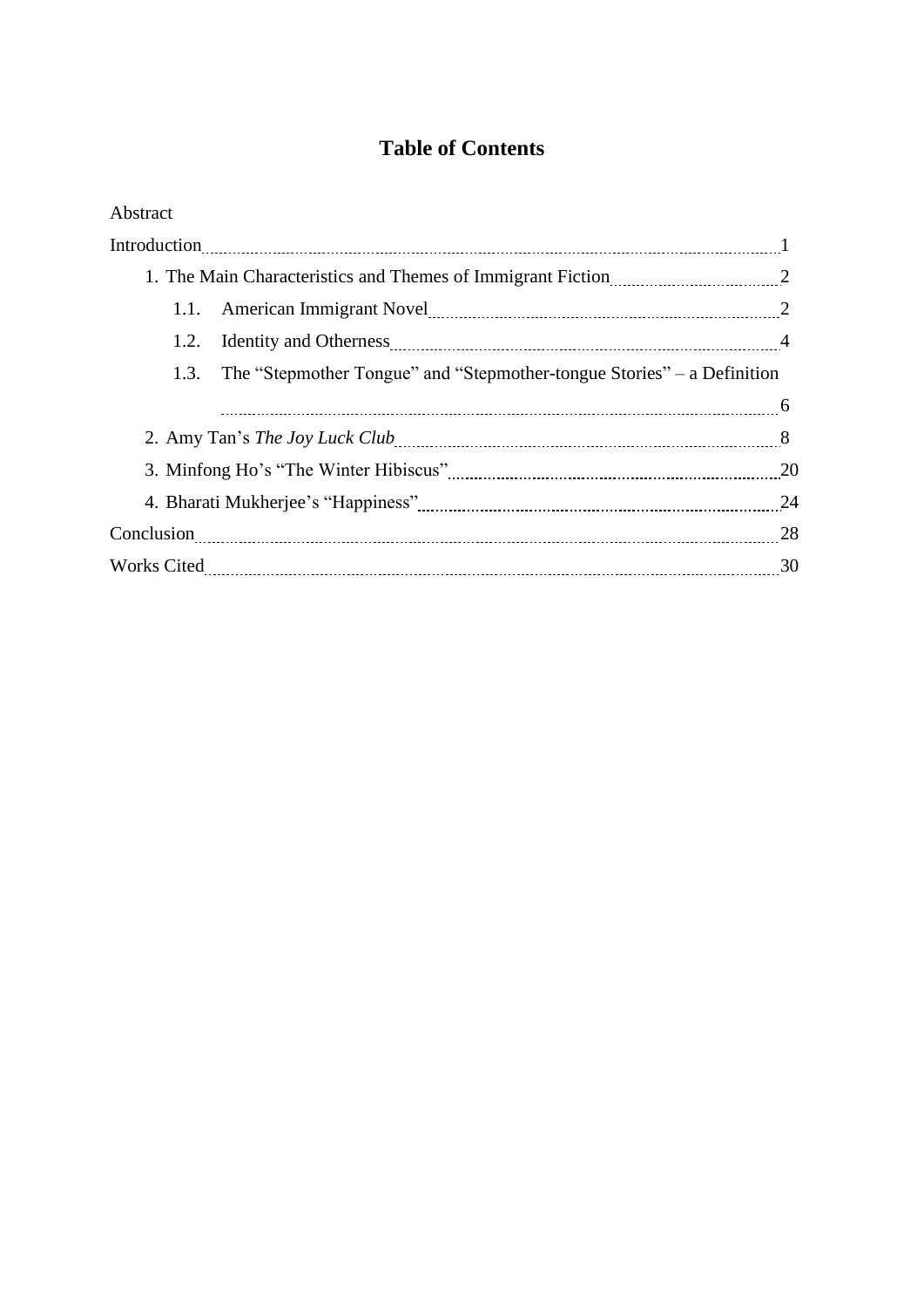### **Table of Contents**

| Abstract                                                                    |    |
|-----------------------------------------------------------------------------|----|
|                                                                             |    |
| 1. The Main Characteristics and Themes of Immigrant Fiction 2003.           |    |
|                                                                             |    |
| Identity and Otherness <u>manual contract and a</u> 4<br>1.2.               |    |
| 1.3. The "Stepmother Tongue" and "Stepmother-tongue Stories" – a Definition |    |
|                                                                             |    |
| 2. Amy Tan's <i>The Joy Luck Club</i> entertainment and the set of 8        |    |
|                                                                             |    |
|                                                                             | 24 |
|                                                                             | 28 |
|                                                                             |    |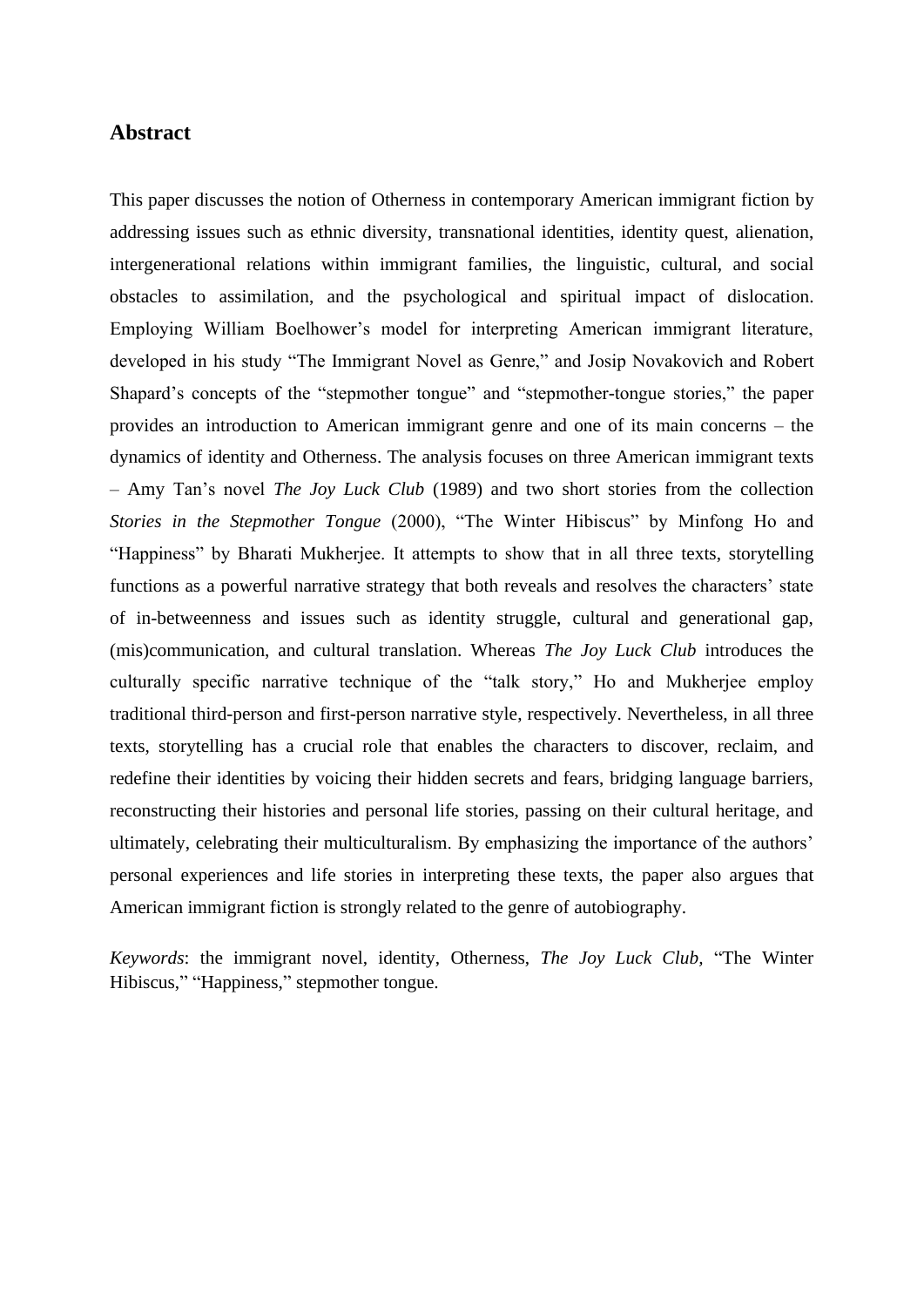#### **Abstract**

This paper discusses the notion of Otherness in contemporary American immigrant fiction by addressing issues such as ethnic diversity, transnational identities, identity quest, alienation, intergenerational relations within immigrant families, the linguistic, cultural, and social obstacles to assimilation, and the psychological and spiritual impact of dislocation. Employing William Boelhower's model for interpreting American immigrant literature, developed in his study "The Immigrant Novel as Genre," and Josip Novakovich and Robert Shapard's concepts of the "stepmother tongue" and "stepmother-tongue stories," the paper provides an introduction to American immigrant genre and one of its main concerns – the dynamics of identity and Otherness. The analysis focuses on three American immigrant texts – Amy Tan's novel *The Joy Luck Club* (1989) and two short stories from the collection *Stories in the Stepmother Tongue* (2000), "The Winter Hibiscus" by Minfong Ho and "Happiness" by Bharati Mukherjee. It attempts to show that in all three texts, storytelling functions as a powerful narrative strategy that both reveals and resolves the characters' state of in-betweenness and issues such as identity struggle, cultural and generational gap, (mis)communication, and cultural translation. Whereas *The Joy Luck Club* introduces the culturally specific narrative technique of the "talk story," Ho and Mukherjee employ traditional third-person and first-person narrative style, respectively. Nevertheless, in all three texts, storytelling has a crucial role that enables the characters to discover, reclaim, and redefine their identities by voicing their hidden secrets and fears, bridging language barriers, reconstructing their histories and personal life stories, passing on their cultural heritage, and ultimately, celebrating their multiculturalism. By emphasizing the importance of the authors' personal experiences and life stories in interpreting these texts, the paper also argues that American immigrant fiction is strongly related to the genre of autobiography.

*Keywords*: the immigrant novel, identity, Otherness, *The Joy Luck Club,* "The Winter Hibiscus," "Happiness," stepmother tongue.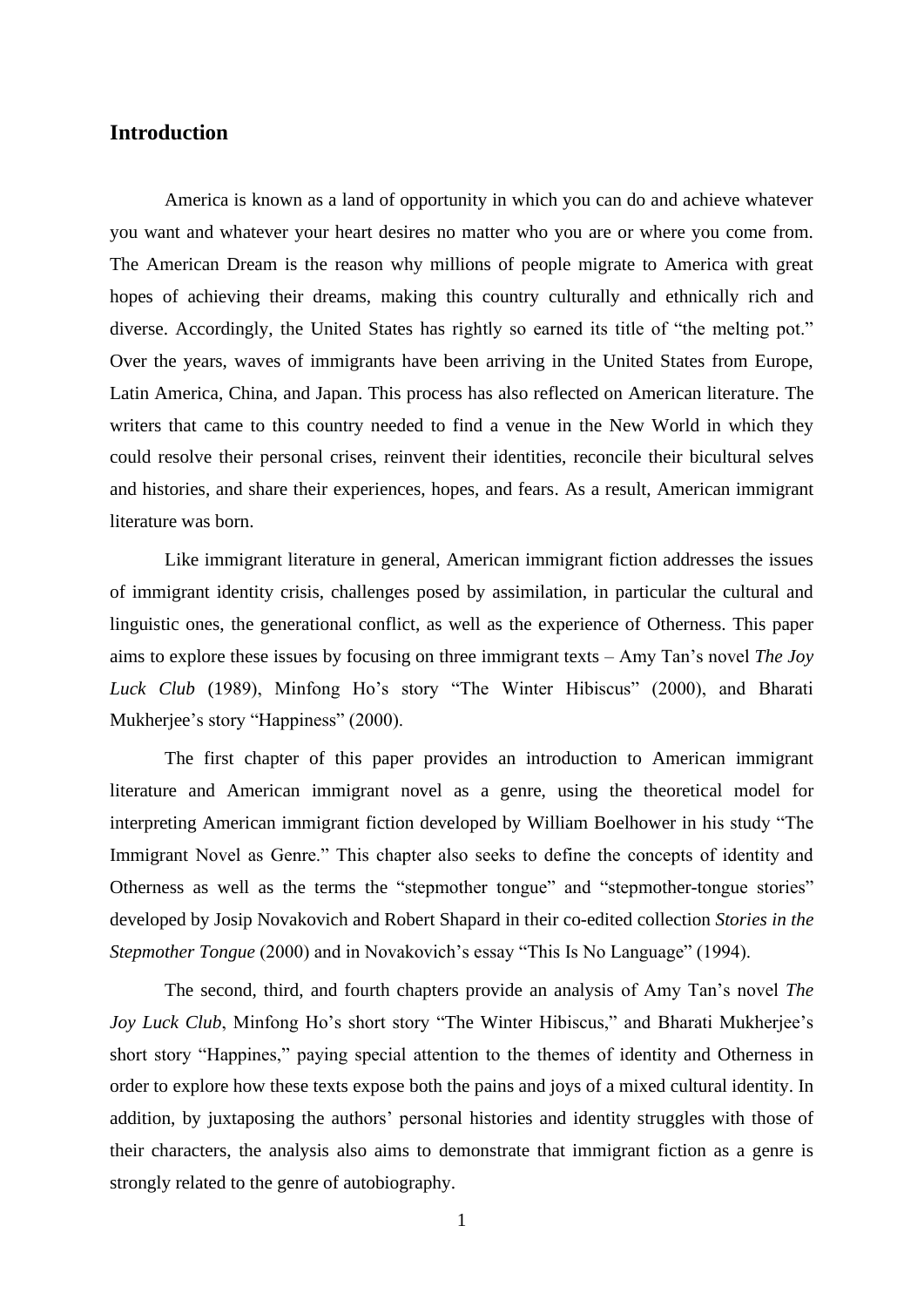#### **Introduction**

America is known as a land of opportunity in which you can do and achieve whatever you want and whatever your heart desires no matter who you are or where you come from. The American Dream is the reason why millions of people migrate to America with great hopes of achieving their dreams, making this country culturally and ethnically rich and diverse. Accordingly, the United States has rightly so earned its title of "the melting pot." Over the years, waves of immigrants have been arriving in the United States from Europe, Latin America, China, and Japan. This process has also reflected on American literature. The writers that came to this country needed to find a venue in the New World in which they could resolve their personal crises, reinvent their identities, reconcile their bicultural selves and histories, and share their experiences, hopes, and fears. As a result, American immigrant literature was born.

Like immigrant literature in general, American immigrant fiction addresses the issues of immigrant identity crisis, challenges posed by assimilation, in particular the cultural and linguistic ones, the generational conflict, as well as the experience of Otherness. This paper aims to explore these issues by focusing on three immigrant texts – Amy Tan's novel *The Joy Luck Club* (1989), Minfong Ho's story "The Winter Hibiscus" (2000), and Bharati Mukherjee's story "Happiness" (2000).

The first chapter of this paper provides an introduction to American immigrant literature and American immigrant novel as a genre, using the theoretical model for interpreting American immigrant fiction developed by William Boelhower in his study "The Immigrant Novel as Genre." This chapter also seeks to define the concepts of identity and Otherness as well as the terms the "stepmother tongue" and "stepmother-tongue stories" developed by Josip Novakovich and Robert Shapard in their co-edited collection *Stories in the Stepmother Tongue* (2000) and in Novakovich's essay "This Is No Language" (1994).

The second, third, and fourth chapters provide an analysis of Amy Tan's novel *The Joy Luck Club*, Minfong Ho's short story "The Winter Hibiscus," and Bharati Mukherjee's short story "Happines," paying special attention to the themes of identity and Otherness in order to explore how these texts expose both the pains and joys of a mixed cultural identity. In addition, by juxtaposing the authors' personal histories and identity struggles with those of their characters, the analysis also aims to demonstrate that immigrant fiction as a genre is strongly related to the genre of autobiography.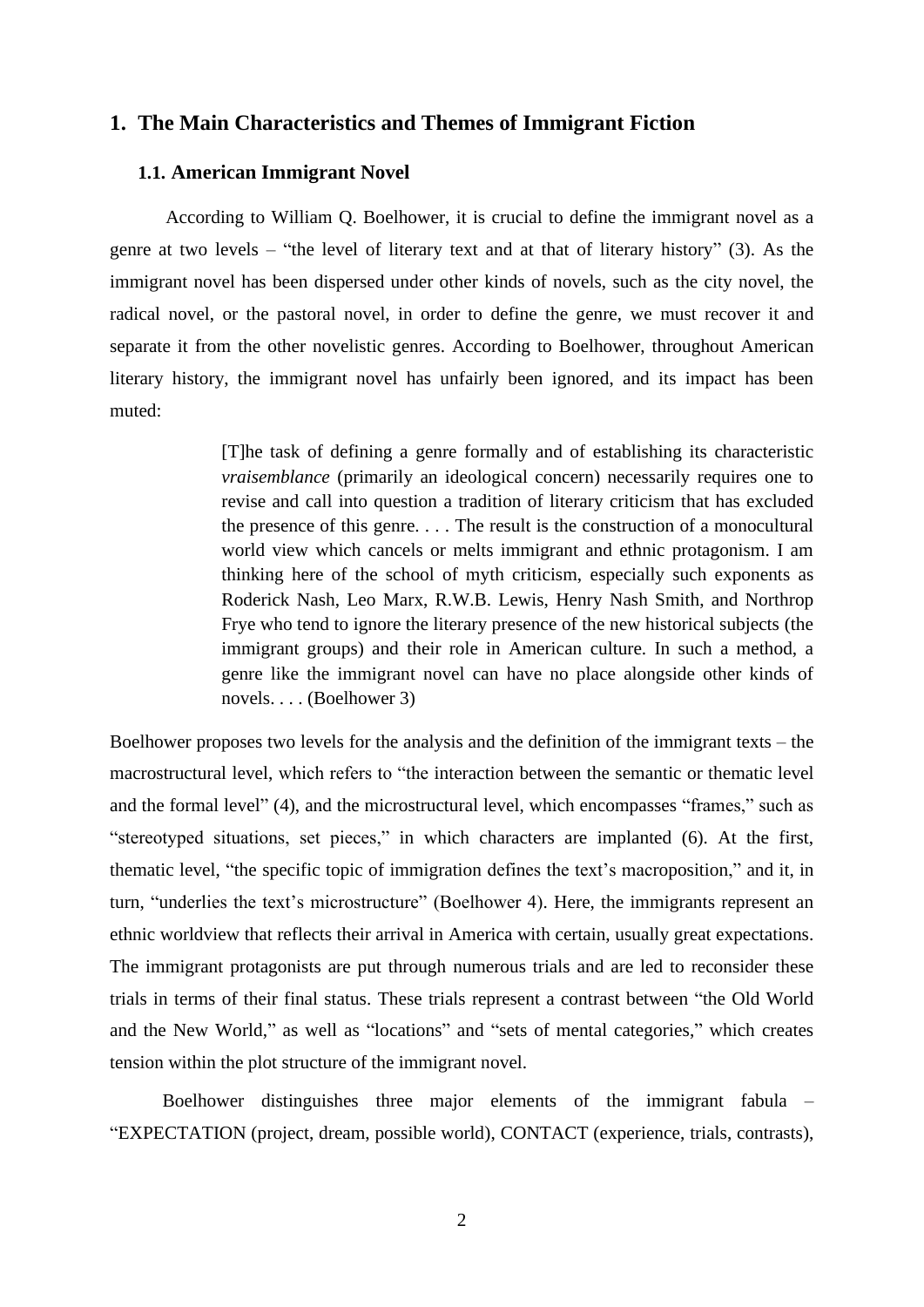#### **1. The Main Characteristics and Themes of Immigrant Fiction**

#### **1.1. American Immigrant Novel**

According to William Q. Boelhower, it is crucial to define the immigrant novel as a genre at two levels – "the level of literary text and at that of literary history" (3). As the immigrant novel has been dispersed under other kinds of novels, such as the city novel, the radical novel, or the pastoral novel, in order to define the genre, we must recover it and separate it from the other novelistic genres. According to Boelhower, throughout American literary history, the immigrant novel has unfairly been ignored, and its impact has been muted:

> [T]he task of defining a genre formally and of establishing its characteristic *vraisemblance* (primarily an ideological concern) necessarily requires one to revise and call into question a tradition of literary criticism that has excluded the presence of this genre. . . . The result is the construction of a monocultural world view which cancels or melts immigrant and ethnic protagonism. I am thinking here of the school of myth criticism, especially such exponents as Roderick Nash, Leo Marx, R.W.B. Lewis, Henry Nash Smith, and Northrop Frye who tend to ignore the literary presence of the new historical subjects (the immigrant groups) and their role in American culture. In such a method, a genre like the immigrant novel can have no place alongside other kinds of novels. . . . (Boelhower 3)

Boelhower proposes two levels for the analysis and the definition of the immigrant texts – the macrostructural level, which refers to "the interaction between the semantic or thematic level and the formal level" (4), and the microstructural level, which encompasses "frames," such as "stereotyped situations, set pieces," in which characters are implanted (6). At the first, thematic level, "the specific topic of immigration defines the text's macroposition," and it, in turn, "underlies the text's microstructure" (Boelhower 4). Here, the immigrants represent an ethnic worldview that reflects their arrival in America with certain, usually great expectations. The immigrant protagonists are put through numerous trials and are led to reconsider these trials in terms of their final status. These trials represent a contrast between "the Old World and the New World," as well as "locations" and "sets of mental categories," which creates tension within the plot structure of the immigrant novel.

Boelhower distinguishes three major elements of the immigrant fabula – "EXPECTATION (project, dream, possible world), CONTACT (experience, trials, contrasts),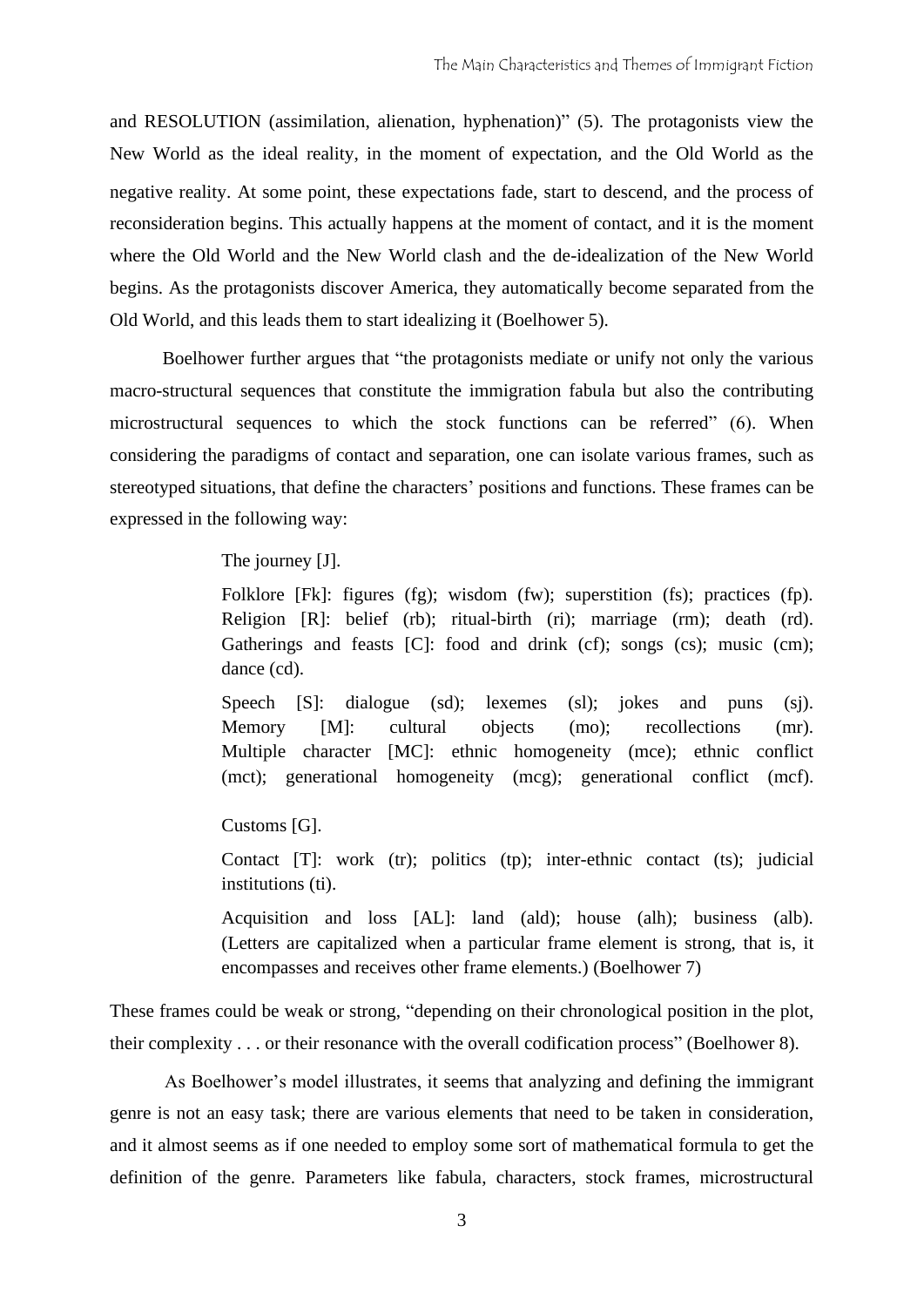and RESOLUTION (assimilation, alienation, hyphenation)" (5). The protagonists view the New World as the ideal reality, in the moment of expectation, and the Old World as the negative reality. At some point, these expectations fade, start to descend, and the process of reconsideration begins. This actually happens at the moment of contact, and it is the moment where the Old World and the New World clash and the de-idealization of the New World begins. As the protagonists discover America, they automatically become separated from the Old World, and this leads them to start idealizing it (Boelhower 5).

Boelhower further argues that "the protagonists mediate or unify not only the various macro-structural sequences that constitute the immigration fabula but also the contributing microstructural sequences to which the stock functions can be referred" (6). When considering the paradigms of contact and separation, one can isolate various frames, such as stereotyped situations, that define the characters' positions and functions. These frames can be expressed in the following way:

#### The journey [J].

Folklore [Fk]: figures (fg); wisdom (fw); superstition (fs); practices (fp). Religion [R]: belief (rb); ritual-birth (ri); marriage (rm); death (rd). Gatherings and feasts [C]: food and drink (cf); songs (cs); music (cm); dance (cd).

Speech [S]: dialogue (sd); lexemes (sl); jokes and puns (sj). Memory [M]: cultural objects (mo); recollections (mr). Multiple character [MC]: ethnic homogeneity (mce); ethnic conflict (mct); generational homogeneity (mcg); generational conflict (mcf).

Customs [G].

Contact [T]: work (tr); politics (tp); inter-ethnic contact (ts); judicial institutions (ti).

Acquisition and loss [AL]: land (ald); house (alh); business (alb). (Letters are capitalized when a particular frame element is strong, that is, it encompasses and receives other frame elements.) (Boelhower 7)

These frames could be weak or strong, "depending on their chronological position in the plot, their complexity . . . or their resonance with the overall codification process" (Boelhower 8).

As Boelhower's model illustrates, it seems that analyzing and defining the immigrant genre is not an easy task; there are various elements that need to be taken in consideration, and it almost seems as if one needed to employ some sort of mathematical formula to get the definition of the genre. Parameters like fabula, characters, stock frames, microstructural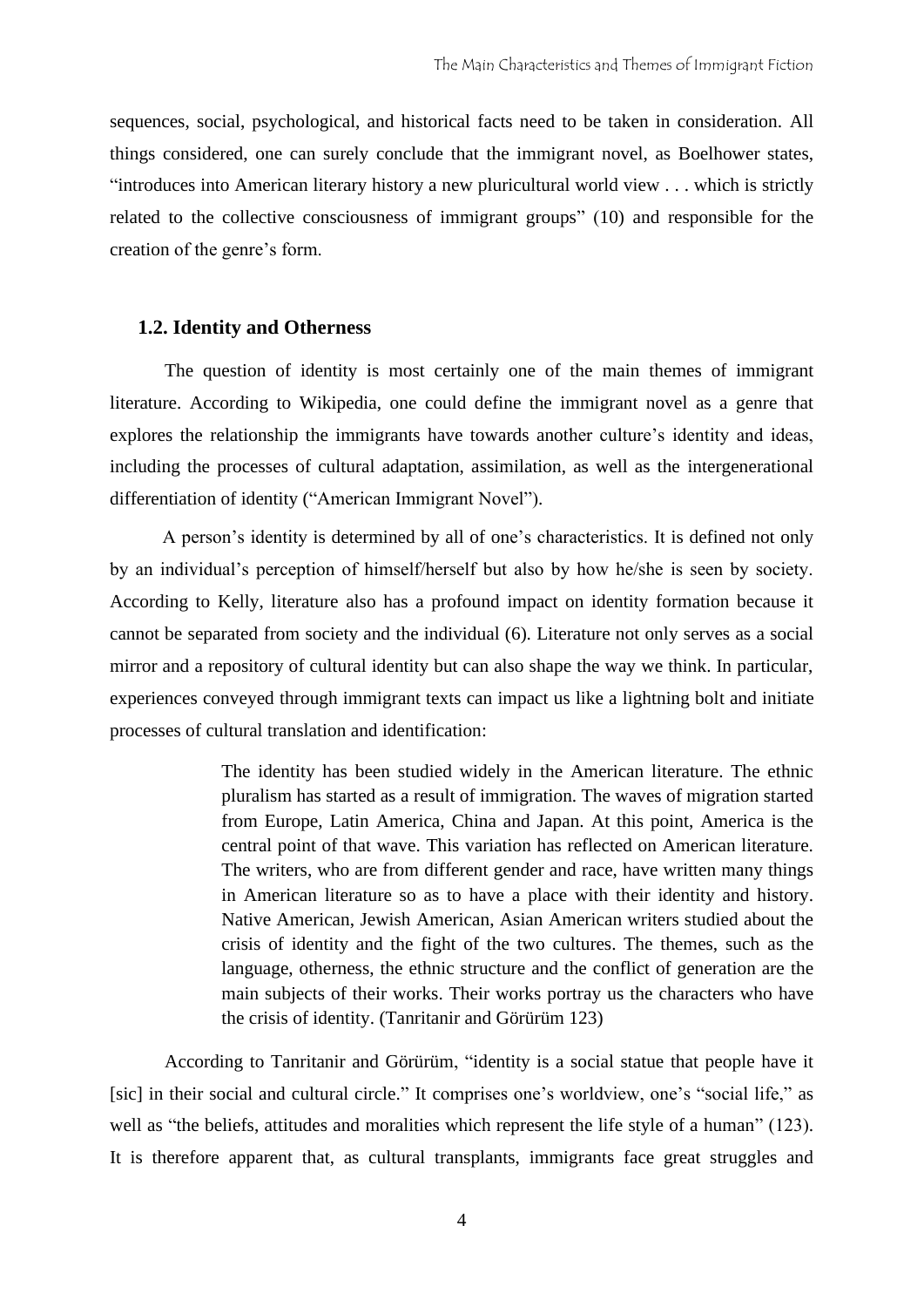sequences, social, psychological, and historical facts need to be taken in consideration. All things considered, one can surely conclude that the immigrant novel, as Boelhower states, "introduces into American literary history a new pluricultural world view . . . which is strictly related to the collective consciousness of immigrant groups" (10) and responsible for the creation of the genre's form.

#### **1.2. Identity and Otherness**

The question of identity is most certainly one of the main themes of immigrant literature. According to Wikipedia, one could define the immigrant novel as a genre that explores the relationship the immigrants have towards another culture's identity and ideas, including the processes of cultural adaptation, assimilation, as well as the intergenerational differentiation of identity ("American Immigrant Novel").

A person's identity is determined by all of one's characteristics. It is defined not only by an individual's perception of himself/herself but also by how he/she is seen by society. According to Kelly, literature also has a profound impact on identity formation because it cannot be separated from society and the individual (6). Literature not only serves as a social mirror and a repository of cultural identity but can also shape the way we think. In particular, experiences conveyed through immigrant texts can impact us like a lightning bolt and initiate processes of cultural translation and identification:

> The identity has been studied widely in the American literature. The ethnic pluralism has started as a result of immigration. The waves of migration started from Europe, Latin America, China and Japan. At this point, America is the central point of that wave. This variation has reflected on American literature. The writers, who are from different gender and race, have written many things in American literature so as to have a place with their identity and history. Native American, Jewish American, Asian American writers studied about the crisis of identity and the fight of the two cultures. The themes, such as the language, otherness, the ethnic structure and the conflict of generation are the main subjects of their works. Their works portray us the characters who have the crisis of identity. (Tanritanir and Görürüm 123)

According to Tanritanir and Görürüm, "identity is a social statue that people have it [sic] in their social and cultural circle." It comprises one's worldview, one's "social life," as well as "the beliefs, attitudes and moralities which represent the life style of a human" (123). It is therefore apparent that, as cultural transplants, immigrants face great struggles and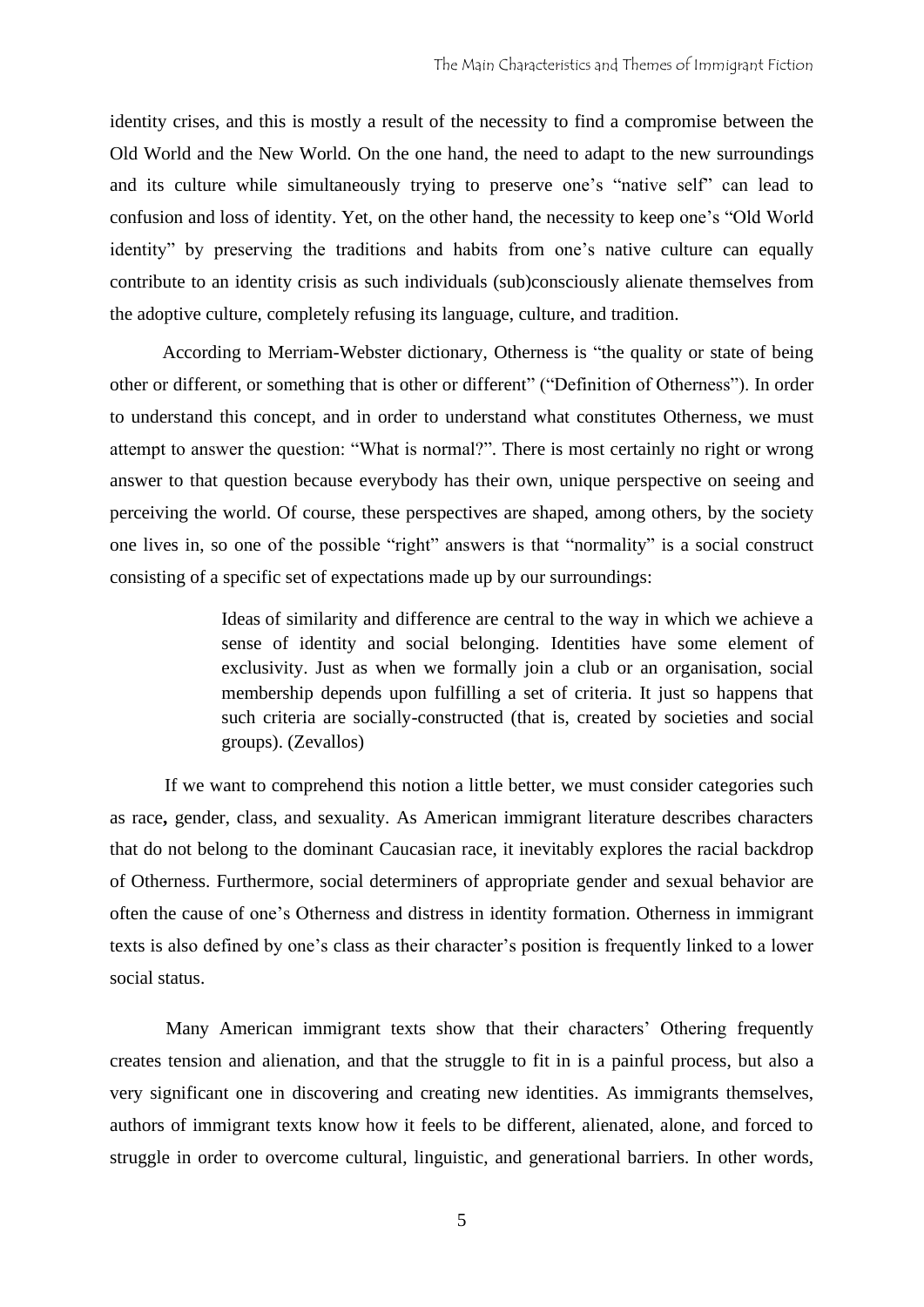identity crises, and this is mostly a result of the necessity to find a compromise between the Old World and the New World. On the one hand, the need to adapt to the new surroundings and its culture while simultaneously trying to preserve one's "native self" can lead to confusion and loss of identity. Yet, on the other hand, the necessity to keep one's "Old World identity" by preserving the traditions and habits from one's native culture can equally contribute to an identity crisis as such individuals (sub)consciously alienate themselves from the adoptive culture, completely refusing its language, culture, and tradition.

According to Merriam-Webster dictionary, Otherness is "the quality or state of being other or different, or something that is other or different" ("Definition of Otherness"). In order to understand this concept, and in order to understand what constitutes Otherness, we must attempt to answer the question: "What is normal?". There is most certainly no right or wrong answer to that question because everybody has their own, unique perspective on seeing and perceiving the world. Of course, these perspectives are shaped, among others, by the society one lives in, so one of the possible "right" answers is that "normality" is a social construct consisting of a specific set of expectations made up by our surroundings:

> Ideas [of similarity and difference](http://www.amazon.co.uk/Social-Identity-Ideas-Richard-Jenkins/dp/0415120535) are central to the way in which we achieve a sense of identity and social belonging. Identities have some element of exclusivity. Just as when we formally join a club or an organisation, social membership depends upon fulfilling a set of criteria. It just so happens that such criteria are socially-constructed (that is, created by societies and social groups). (Zevallos)

If we want to comprehend this notion a little better, we must consider categories such as race**,** gender, class, and sexuality. As American immigrant literature describes characters that do not belong to the dominant Caucasian race, it inevitably explores the racial backdrop of Otherness. Furthermore, social determiners of appropriate gender and sexual behavior are often the cause of one's Otherness and distress in identity formation. Otherness in immigrant texts is also defined by one's class as their character's position is frequently linked to a lower social status.

Many American immigrant texts show that their characters' Othering frequently creates tension and alienation, and that the struggle to fit in is a painful process, but also a very significant one in discovering and creating new identities. As immigrants themselves, authors of immigrant texts know how it feels to be different, alienated, alone, and forced to struggle in order to overcome cultural, linguistic, and generational barriers. In other words,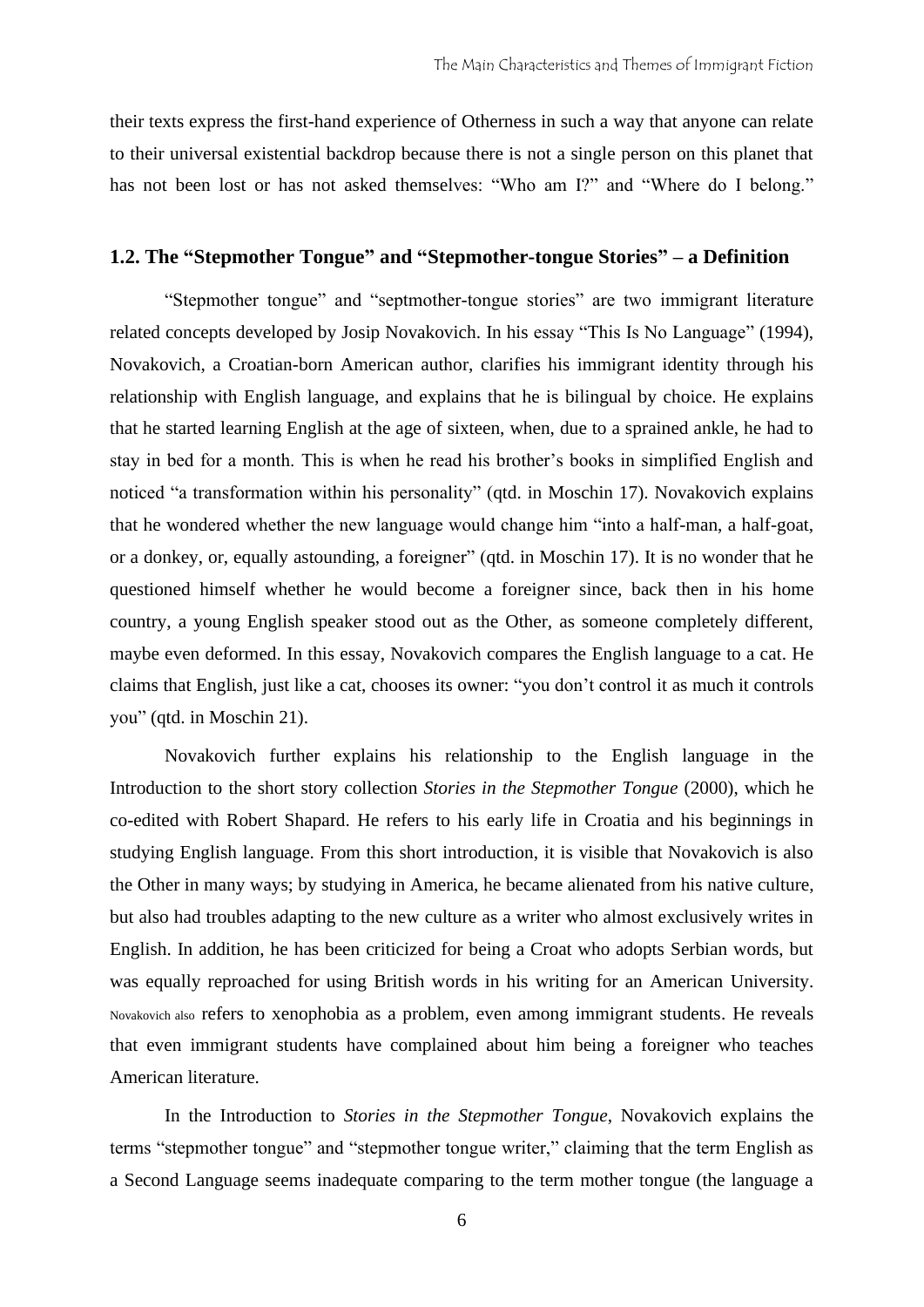their texts express the first-hand experience of Otherness in such a way that anyone can relate to their universal existential backdrop because there is not a single person on this planet that has not been lost or has not asked themselves: "Who am I?" and "Where do I belong."

#### **1.2. The "Stepmother Tongue" and "Stepmother-tongue Stories" – a Definition**

"Stepmother tongue" and "septmother-tongue stories" are two immigrant literature related concepts developed by Josip Novakovich. In his essay "This Is No Language" (1994), Novakovich, a Croatian-born American author, clarifies his immigrant identity through his relationship with English language, and explains that he is bilingual by choice. He explains that he started learning English at the age of sixteen, when, due to a sprained ankle, he had to stay in bed for a month. This is when he read his brother's books in simplified English and noticed "a transformation within his personality" (qtd. in Moschin 17). Novakovich explains that he wondered whether the new language would change him "into a half-man, a half-goat, or a donkey, or, equally astounding, a foreigner" (qtd. in Moschin 17). It is no wonder that he questioned himself whether he would become a foreigner since, back then in his home country, a young English speaker stood out as the Other, as someone completely different, maybe even deformed. In this essay, Novakovich compares the English language to a cat. He claims that English, just like a cat, chooses its owner: "you don't control it as much it controls you" (qtd. in Moschin 21).

Novakovich further explains his relationship to the English language in the Introduction to the short story collection *Stories in the Stepmother Tongue* (2000), which he co-edited with Robert Shapard. He refers to his early life in Croatia and his beginnings in studying English language. From this short introduction, it is visible that Novakovich is also the Other in many ways; by studying in America, he became alienated from his native culture, but also had troubles adapting to the new culture as a writer who almost exclusively writes in English. In addition, he has been criticized for being a Croat who adopts Serbian words, but was equally reproached for using British words in his writing for an American University. Novakovich also refers to xenophobia as a problem, even among immigrant students. He reveals that even immigrant students have complained about him being a foreigner who teaches American literature.

In the Introduction to *Stories in the Stepmother Tongue*, Novakovich explains the terms "stepmother tongue" and "stepmother tongue writer," claiming that the term English as a Second Language seems inadequate comparing to the term mother tongue (the language a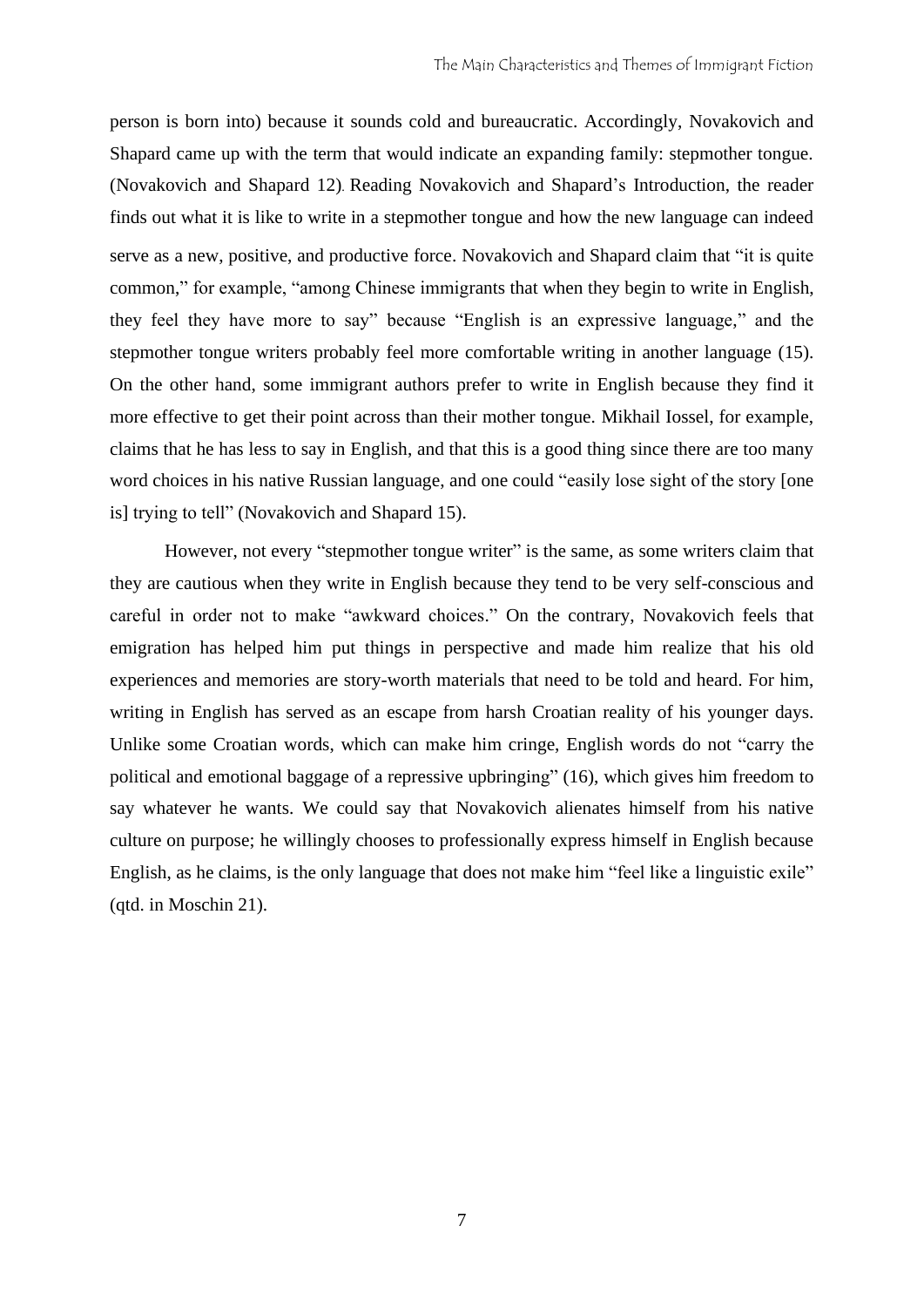person is born into) because it sounds cold and bureaucratic. Accordingly, Novakovich and Shapard came up with the term that would indicate an expanding family: stepmother tongue. (Novakovich and Shapard 12). Reading Novakovich and Shapard's Introduction, the reader finds out what it is like to write in a stepmother tongue and how the new language can indeed serve as a new, positive, and productive force. Novakovich and Shapard claim that "it is quite common," for example, "among Chinese immigrants that when they begin to write in English, they feel they have more to say" because "English is an expressive language," and the stepmother tongue writers probably feel more comfortable writing in another language (15). On the other hand, some immigrant authors prefer to write in English because they find it more effective to get their point across than their mother tongue. Mikhail Iossel, for example, claims that he has less to say in English, and that this is a good thing since there are too many word choices in his native Russian language, and one could "easily lose sight of the story [one is] trying to tell" (Novakovich and Shapard 15).

However, not every "stepmother tongue writer" is the same, as some writers claim that they are cautious when they write in English because they tend to be very self-conscious and careful in order not to make "awkward choices." On the contrary, Novakovich feels that emigration has helped him put things in perspective and made him realize that his old experiences and memories are story-worth materials that need to be told and heard. For him, writing in English has served as an escape from harsh Croatian reality of his younger days. Unlike some Croatian words, which can make him cringe, English words do not "carry the political and emotional baggage of a repressive upbringing" (16), which gives him freedom to say whatever he wants. We could say that Novakovich alienates himself from his native culture on purpose; he willingly chooses to professionally express himself in English because English, as he claims, is the only language that does not make him "feel like a linguistic exile" (qtd. in Moschin 21).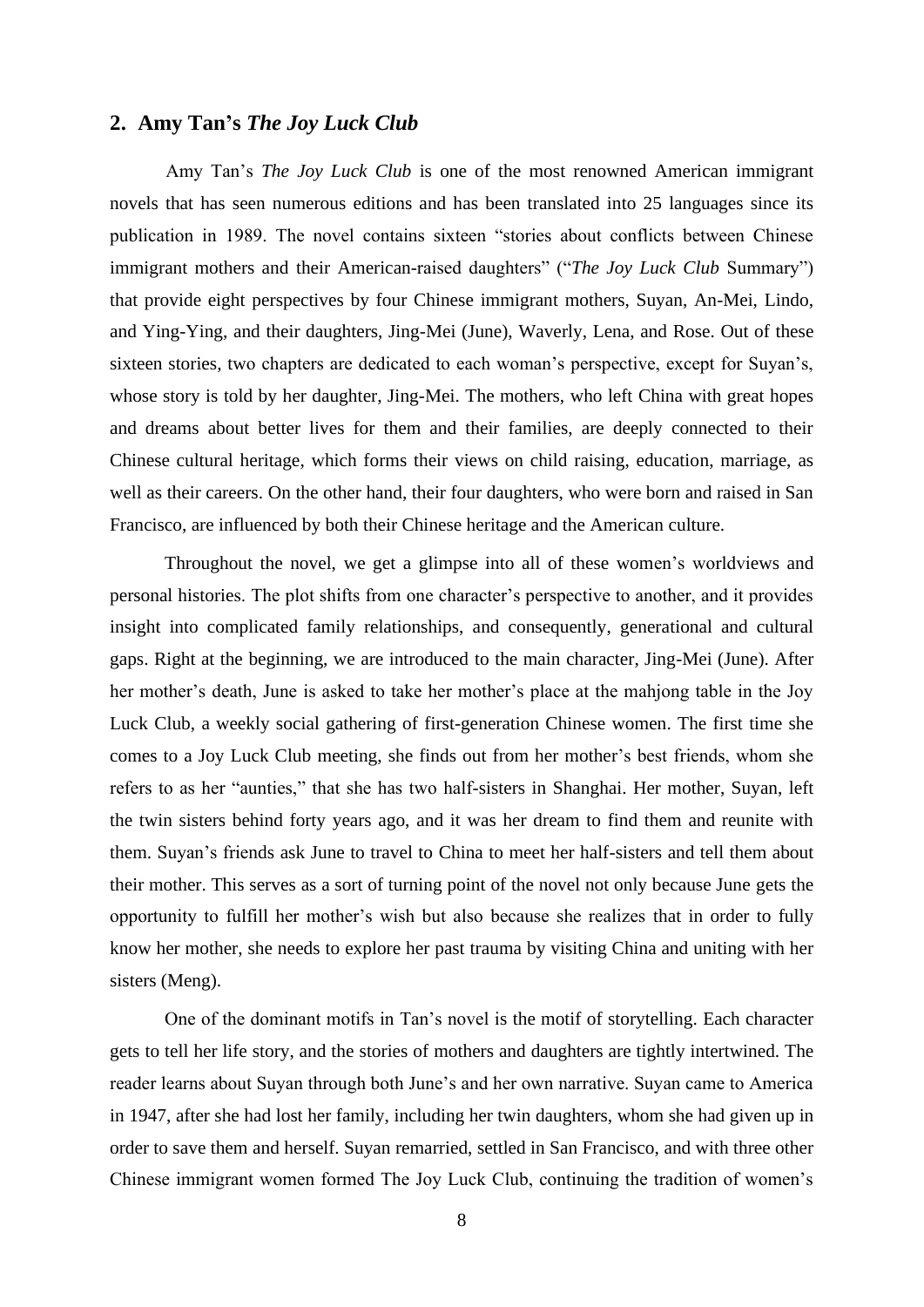#### **2. Amy Tan's** *The Joy Luck Club*

Amy Tan's *The Joy Luck Club* is one of the most renowned American immigrant novels that has seen numerous editions and has been translated into 25 languages since its publication in 1989. The novel contains sixteen "stories about conflicts between Chinese immigrant mothers and their American-raised daughters" ("*The Joy Luck Club* Summary") that provide eight perspectives by four Chinese immigrant mothers, Suyan, An-Mei, Lindo, and Ying-Ying, and their daughters, Jing-Mei (June), Waverly, Lena, and Rose. Out of these sixteen stories, two chapters are dedicated to each woman's perspective, except for Suyan's, whose story is told by her daughter, Jing-Mei. The mothers, who left China with great hopes and dreams about better lives for them and their families, are deeply connected to their Chinese cultural heritage, which forms their views on child raising, education, marriage, as well as their careers. On the other hand, their four daughters, who were born and raised in San Francisco, are influenced by both their Chinese heritage and the American culture.

Throughout the novel, we get a glimpse into all of these women's worldviews and personal histories. The plot shifts from one character's perspective to another, and it provides insight into complicated family relationships, and consequently, generational and cultural gaps. Right at the beginning, we are introduced to the main character, Jing-Mei (June). After her mother's death, June is asked to take her mother's place at the mahjong table in the Joy Luck Club, a weekly social gathering of first-generation Chinese women. The first time she comes to a Joy Luck Club meeting, she finds out from her mother's best friends, whom she refers to as her "aunties," that she has two half-sisters in Shanghai. Her mother, Suyan, left the twin sisters behind forty years ago, and it was her dream to find them and reunite with them. Suyan's friends ask June to travel to China to meet her half-sisters and tell them about their mother. This serves as a sort of turning point of the novel not only because June gets the opportunity to fulfill her mother's wish but also because she realizes that in order to fully know her mother, she needs to explore her past trauma by visiting China and uniting with her sisters (Meng).

One of the dominant motifs in Tan's novel is the motif of storytelling. Each character gets to tell her life story, and the stories of mothers and daughters are tightly intertwined. The reader learns about Suyan through both June's and her own narrative. Suyan came to America in 1947, after she had lost her family, including her twin daughters, whom she had given up in order to save them and herself. Suyan remarried, settled in San Francisco, and with three other Chinese immigrant women formed The Joy Luck Club, continuing the tradition of women's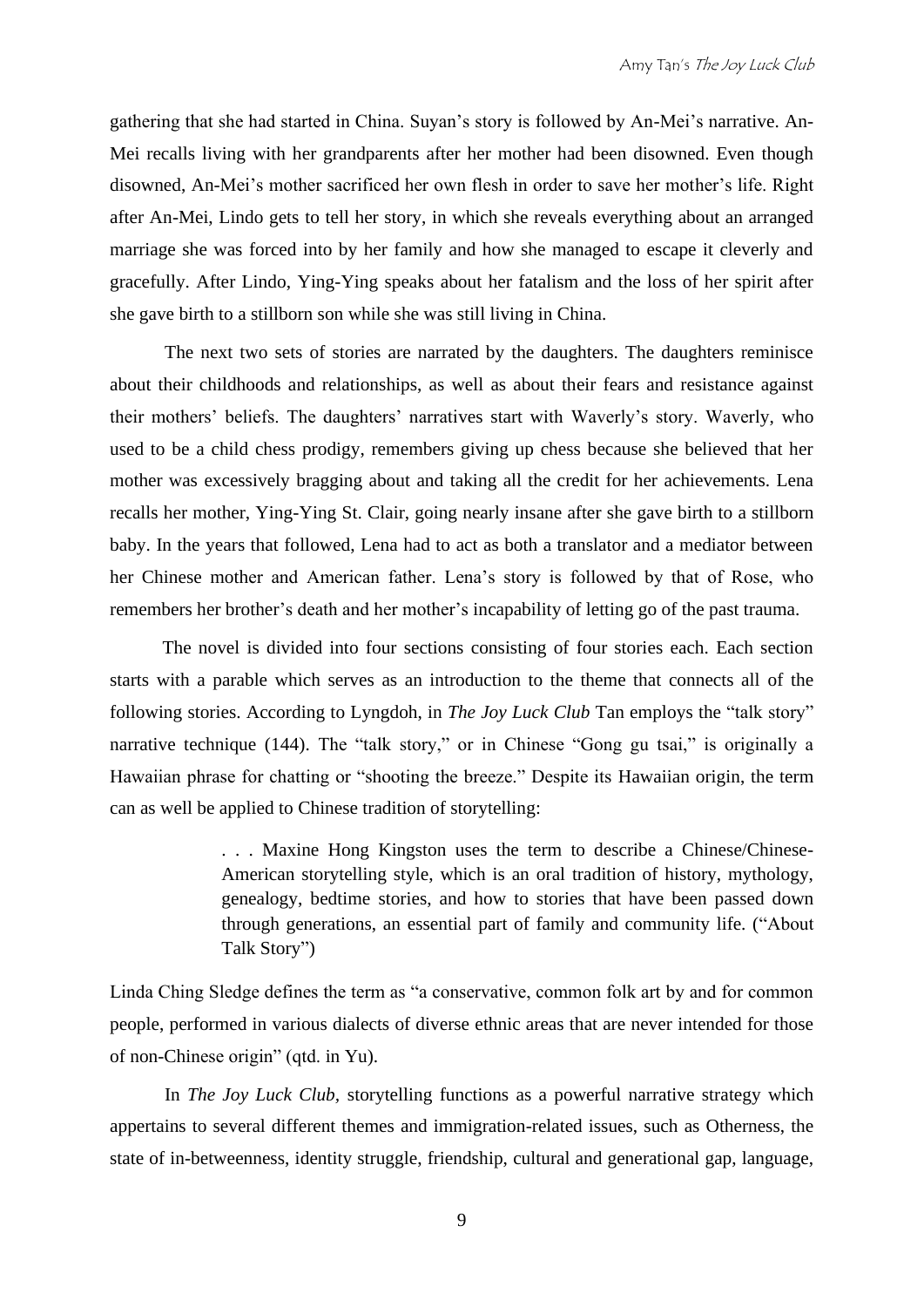gathering that she had started in China. Suyan's story is followed by An-Mei's narrative. An-Mei recalls living with her grandparents after her mother had been disowned. Even though disowned, An-Mei's mother sacrificed her own flesh in order to save her mother's life. Right after An-Mei, Lindo gets to tell her story, in which she reveals everything about an arranged marriage she was forced into by her family and how she managed to escape it cleverly and gracefully. After Lindo, Ying-Ying speaks about her fatalism and the loss of her spirit after she gave birth to a stillborn son while she was still living in China.

The next two sets of stories are narrated by the daughters. The daughters reminisce about their childhoods and relationships, as well as about their fears and resistance against their mothers' beliefs. The daughters' narratives start with Waverly's story. Waverly, who used to be a child chess prodigy, remembers giving up chess because she believed that her mother was excessively bragging about and taking all the credit for her achievements. Lena recalls her mother, Ying-Ying St. Clair, going nearly insane after she gave birth to a stillborn baby. In the years that followed, Lena had to act as both a translator and a mediator between her Chinese mother and American father. Lena's story is followed by that of Rose, who remembers her brother's death and her mother's incapability of letting go of the past trauma.

The novel is divided into four sections consisting of four stories each. Each section starts with a parable which serves as an introduction to the theme that connects all of the following stories. According to Lyngdoh, in *The Joy Luck Club* Tan employs the "talk story" narrative technique (144). The "talk story," or in Chinese "Gong gu tsai," is originally a Hawaiian phrase for chatting or "shooting the breeze." Despite its Hawaiian origin, the term can as well be applied to Chinese tradition of storytelling:

> . . . Maxine Hong Kingston uses the term to describe a Chinese/Chinese-American storytelling style, which is an oral tradition of history, mythology, genealogy, bedtime stories, and how to stories that have been passed down through generations, an essential part of family and community life. ("About Talk Story")

Linda Ching Sledge defines the term as "a conservative, common folk art by and for common people, performed in various dialects of diverse ethnic areas that are never intended for those of non-Chinese origin" (qtd. in Yu).

In *The Joy Luck Club,* storytelling functions as a powerful narrative strategy which appertains to several different themes and immigration-related issues, such as Otherness, the state of in-betweenness, identity struggle, friendship, cultural and generational gap, language,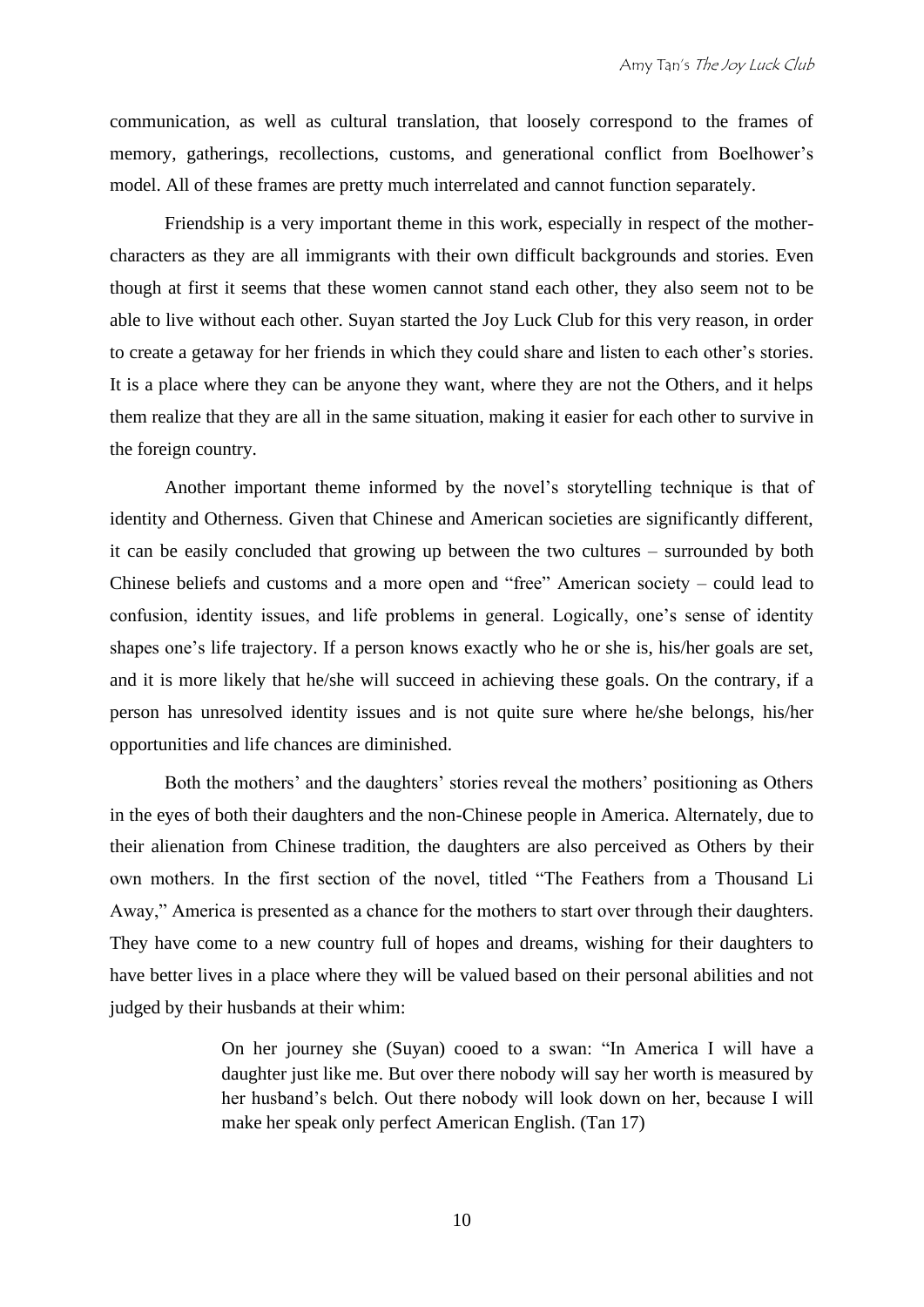communication, as well as cultural translation, that loosely correspond to the frames of memory, gatherings, recollections, customs, and generational conflict from Boelhower's model. All of these frames are pretty much interrelated and cannot function separately.

Friendship is a very important theme in this work, especially in respect of the mothercharacters as they are all immigrants with their own difficult backgrounds and stories. Even though at first it seems that these women cannot stand each other, they also seem not to be able to live without each other. Suyan started the Joy Luck Club for this very reason, in order to create a getaway for her friends in which they could share and listen to each other's stories. It is a place where they can be anyone they want, where they are not the Others, and it helps them realize that they are all in the same situation, making it easier for each other to survive in the foreign country.

Another important theme informed by the novel's storytelling technique is that of identity and Otherness. Given that Chinese and American societies are significantly different, it can be easily concluded that growing up between the two cultures – surrounded by both Chinese beliefs and customs and a more open and "free" American society – could lead to confusion, identity issues, and life problems in general. Logically, one's sense of identity shapes one's life trajectory. If a person knows exactly who he or she is, his/her goals are set, and it is more likely that he/she will succeed in achieving these goals. On the contrary, if a person has unresolved identity issues and is not quite sure where he/she belongs, his/her opportunities and life chances are diminished.

Both the mothers' and the daughters' stories reveal the mothers' positioning as Others in the eyes of both their daughters and the non-Chinese people in America. Alternately, due to their alienation from Chinese tradition, the daughters are also perceived as Others by their own mothers. In the first section of the novel, titled "The Feathers from a Thousand Li Away," America is presented as a chance for the mothers to start over through their daughters. They have come to a new country full of hopes and dreams, wishing for their daughters to have better lives in a place where they will be valued based on their personal abilities and not judged by their husbands at their whim:

> On her journey she (Suyan) cooed to a swan: "In America I will have a daughter just like me. But over there nobody will say her worth is measured by her husband's belch. Out there nobody will look down on her, because I will make her speak only perfect American English. (Tan 17)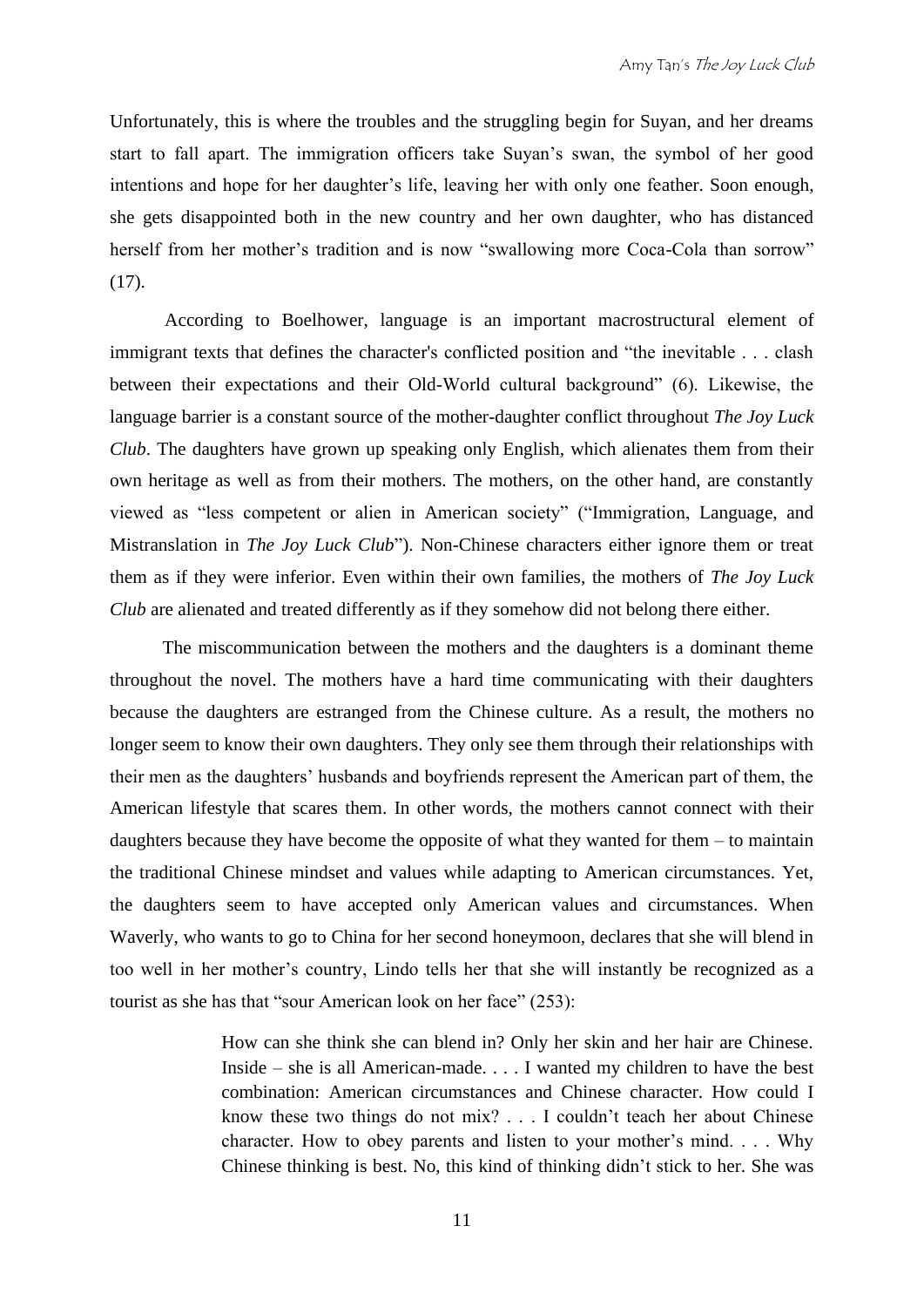Unfortunately, this is where the troubles and the struggling begin for Suyan, and her dreams start to fall apart. The immigration officers take Suyan's swan, the symbol of her good intentions and hope for her daughter's life, leaving her with only one feather. Soon enough, she gets disappointed both in the new country and her own daughter, who has distanced herself from her mother's tradition and is now "swallowing more Coca-Cola than sorrow" (17).

According to Boelhower, language is an important macrostructural element of immigrant texts that defines the character's conflicted position and "the inevitable . . . clash between their expectations and their Old-World cultural background" (6). Likewise, the language barrier is a constant source of the mother-daughter conflict throughout *The Joy Luck Club*. The daughters have grown up speaking only English, which alienates them from their own heritage as well as from their mothers. The mothers, on the other hand, are constantly viewed as "less competent or alien in American society" ("Immigration, Language, and Mistranslation in *The Joy Luck Club*"). Non-Chinese characters either ignore them or treat them as if they were inferior. Even within their own families, the mothers of *The Joy Luck Club* are alienated and treated differently as if they somehow did not belong there either.

The miscommunication between the mothers and the daughters is a dominant theme throughout the novel. The mothers have a hard time communicating with their daughters because the daughters are estranged from the Chinese culture. As a result, the mothers no longer seem to know their own daughters. They only see them through their relationships with their men as the daughters' husbands and boyfriends represent the American part of them, the American lifestyle that scares them. In other words, the mothers cannot connect with their daughters because they have become the opposite of what they wanted for them – to maintain the traditional Chinese mindset and values while adapting to American circumstances. Yet, the daughters seem to have accepted only American values and circumstances. When Waverly, who wants to go to China for her second honeymoon, declares that she will blend in too well in her mother's country, Lindo tells her that she will instantly be recognized as a tourist as she has that "sour American look on her face" (253):

> How can she think she can blend in? Only her skin and her hair are Chinese. Inside – she is all American-made. . . . I wanted my children to have the best combination: American circumstances and Chinese character. How could I know these two things do not mix? . . . I couldn't teach her about Chinese character. How to obey parents and listen to your mother's mind. . . . Why Chinese thinking is best. No, this kind of thinking didn't stick to her. She was

> > 11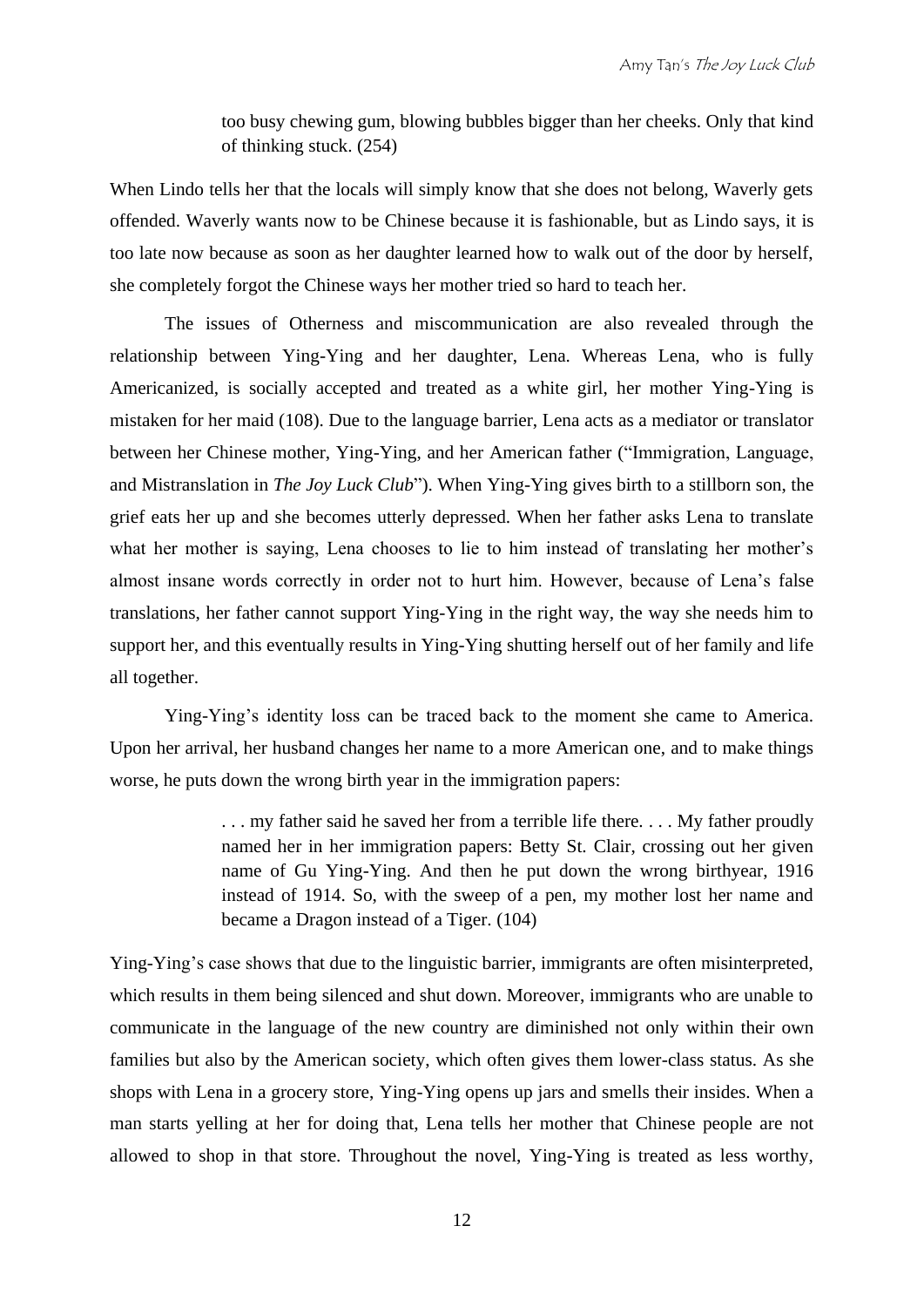too busy chewing gum, blowing bubbles bigger than her cheeks. Only that kind of thinking stuck. (254)

When Lindo tells her that the locals will simply know that she does not belong, Waverly gets offended. Waverly wants now to be Chinese because it is fashionable, but as Lindo says, it is too late now because as soon as her daughter learned how to walk out of the door by herself, she completely forgot the Chinese ways her mother tried so hard to teach her.

The issues of Otherness and miscommunication are also revealed through the relationship between Ying-Ying and her daughter, Lena. Whereas Lena, who is fully Americanized, is socially accepted and treated as a white girl, her mother Ying-Ying is mistaken for her maid (108). Due to the language barrier, Lena acts as a mediator or translator between her Chinese mother, Ying-Ying, and her American father ("Immigration, Language, and Mistranslation in *The Joy Luck Club*"). When Ying-Ying gives birth to a stillborn son, the grief eats her up and she becomes utterly depressed. When her father asks Lena to translate what her mother is saying, Lena chooses to lie to him instead of translating her mother's almost insane words correctly in order not to hurt him. However, because of Lena's false translations, her father cannot support Ying-Ying in the right way, the way she needs him to support her, and this eventually results in Ying-Ying shutting herself out of her family and life all together.

Ying-Ying's identity loss can be traced back to the moment she came to America. Upon her arrival, her husband changes her name to a more American one, and to make things worse, he puts down the wrong birth year in the immigration papers:

> ... my father said he saved her from a terrible life there... My father proudly named her in her immigration papers: Betty St. Clair, crossing out her given name of Gu Ying-Ying. And then he put down the wrong birthyear, 1916 instead of 1914. So, with the sweep of a pen, my mother lost her name and became a Dragon instead of a Tiger. (104)

Ying-Ying's case shows that due to the linguistic barrier, immigrants are often misinterpreted, which results in them being silenced and shut down. Moreover, immigrants who are unable to communicate in the language of the new country are diminished not only within their own families but also by the American society, which often gives them lower-class status. As she shops with Lena in a grocery store, Ying-Ying opens up jars and smells their insides. When a man starts yelling at her for doing that, Lena tells her mother that Chinese people are not allowed to shop in that store. Throughout the novel, Ying-Ying is treated as less worthy,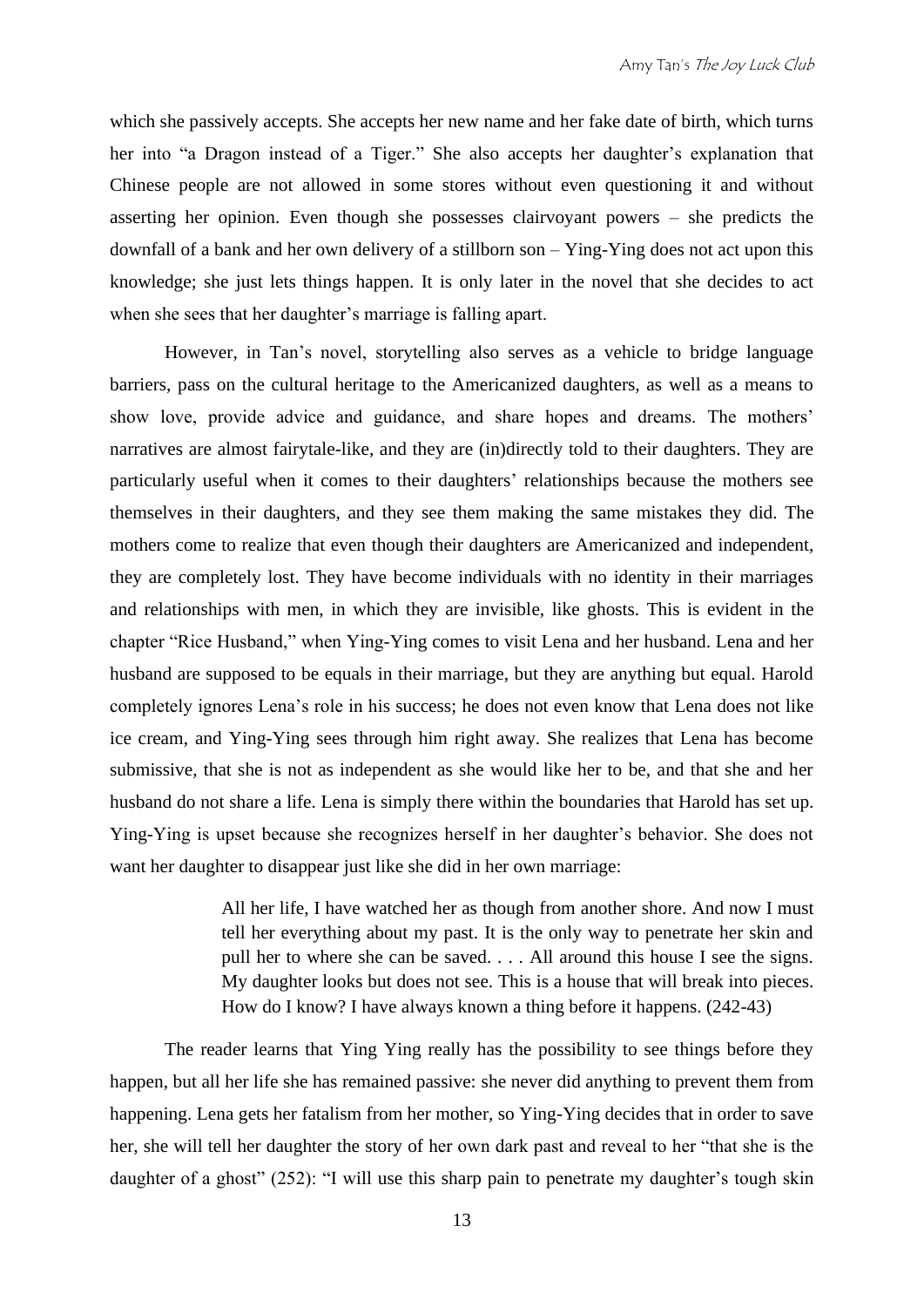which she passively accepts. She accepts her new name and her fake date of birth, which turns her into "a Dragon instead of a Tiger." She also accepts her daughter's explanation that Chinese people are not allowed in some stores without even questioning it and without asserting her opinion. Even though she possesses clairvoyant powers – she predicts the downfall of a bank and her own delivery of a stillborn son – Ying-Ying does not act upon this knowledge; she just lets things happen. It is only later in the novel that she decides to act when she sees that her daughter's marriage is falling apart.

However, in Tan's novel, storytelling also serves as a vehicle to bridge language barriers, pass on the cultural heritage to the Americanized daughters, as well as a means to show love, provide advice and guidance, and share hopes and dreams. The mothers' narratives are almost fairytale-like, and they are (in)directly told to their daughters. They are particularly useful when it comes to their daughters' relationships because the mothers see themselves in their daughters, and they see them making the same mistakes they did. The mothers come to realize that even though their daughters are Americanized and independent, they are completely lost. They have become individuals with no identity in their marriages and relationships with men, in which they are invisible, like ghosts. This is evident in the chapter "Rice Husband," when Ying-Ying comes to visit Lena and her husband. Lena and her husband are supposed to be equals in their marriage, but they are anything but equal. Harold completely ignores Lena's role in his success; he does not even know that Lena does not like ice cream, and Ying-Ying sees through him right away. She realizes that Lena has become submissive, that she is not as independent as she would like her to be, and that she and her husband do not share a life. Lena is simply there within the boundaries that Harold has set up. Ying-Ying is upset because she recognizes herself in her daughter's behavior. She does not want her daughter to disappear just like she did in her own marriage:

> All her life, I have watched her as though from another shore. And now I must tell her everything about my past. It is the only way to penetrate her skin and pull her to where she can be saved. . . . All around this house I see the signs. My daughter looks but does not see. This is a house that will break into pieces. How do I know? I have always known a thing before it happens. (242-43)

The reader learns that Ying Ying really has the possibility to see things before they happen, but all her life she has remained passive: she never did anything to prevent them from happening. Lena gets her fatalism from her mother, so Ying-Ying decides that in order to save her, she will tell her daughter the story of her own dark past and reveal to her "that she is the daughter of a ghost" (252): "I will use this sharp pain to penetrate my daughter's tough skin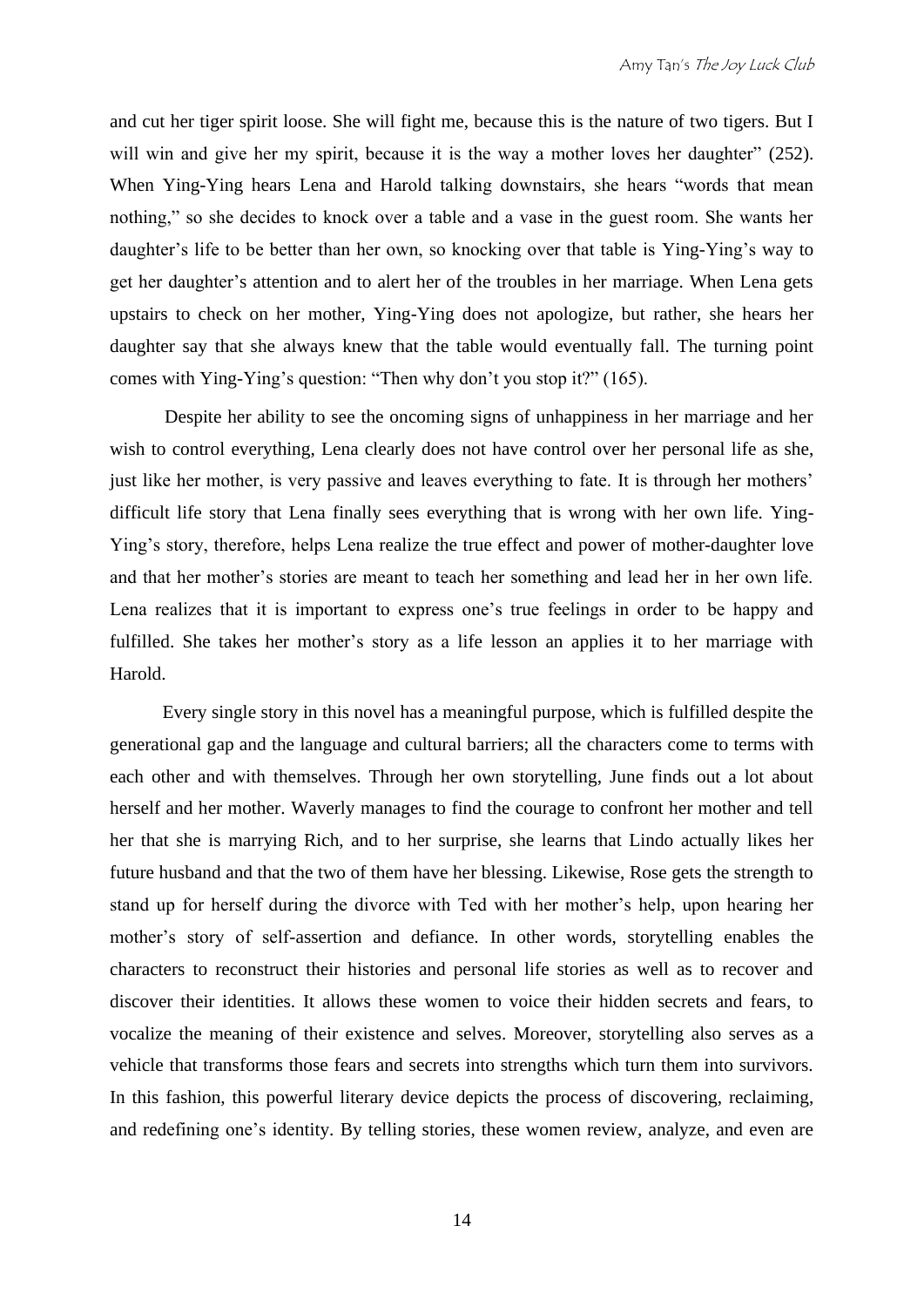and cut her tiger spirit loose. She will fight me, because this is the nature of two tigers. But I will win and give her my spirit, because it is the way a mother loves her daughter" (252). When Ying-Ying hears Lena and Harold talking downstairs, she hears "words that mean nothing," so she decides to knock over a table and a vase in the guest room. She wants her daughter's life to be better than her own, so knocking over that table is Ying-Ying's way to get her daughter's attention and to alert her of the troubles in her marriage. When Lena gets upstairs to check on her mother, Ying-Ying does not apologize, but rather, she hears her daughter say that she always knew that the table would eventually fall. The turning point comes with Ying-Ying's question: "Then why don't you stop it?" (165).

Despite her ability to see the oncoming signs of unhappiness in her marriage and her wish to control everything, Lena clearly does not have control over her personal life as she, just like her mother, is very passive and leaves everything to fate. It is through her mothers' difficult life story that Lena finally sees everything that is wrong with her own life. Ying-Ying's story, therefore, helps Lena realize the true effect and power of mother-daughter love and that her mother's stories are meant to teach her something and lead her in her own life. Lena realizes that it is important to express one's true feelings in order to be happy and fulfilled. She takes her mother's story as a life lesson an applies it to her marriage with Harold.

Every single story in this novel has a meaningful purpose, which is fulfilled despite the generational gap and the language and cultural barriers; all the characters come to terms with each other and with themselves. Through her own storytelling, June finds out a lot about herself and her mother. Waverly manages to find the courage to confront her mother and tell her that she is marrying Rich, and to her surprise, she learns that Lindo actually likes her future husband and that the two of them have her blessing. Likewise, Rose gets the strength to stand up for herself during the divorce with Ted with her mother's help, upon hearing her mother's story of self-assertion and defiance. In other words, storytelling enables the characters to reconstruct their histories and personal life stories as well as to recover and discover their identities. It allows these women to voice their hidden secrets and fears, to vocalize the meaning of their existence and selves. Moreover, storytelling also serves as a vehicle that transforms those fears and secrets into strengths which turn them into survivors. In this fashion, this powerful literary device depicts the process of discovering, reclaiming, and redefining one's identity. By telling stories, these women review, analyze, and even are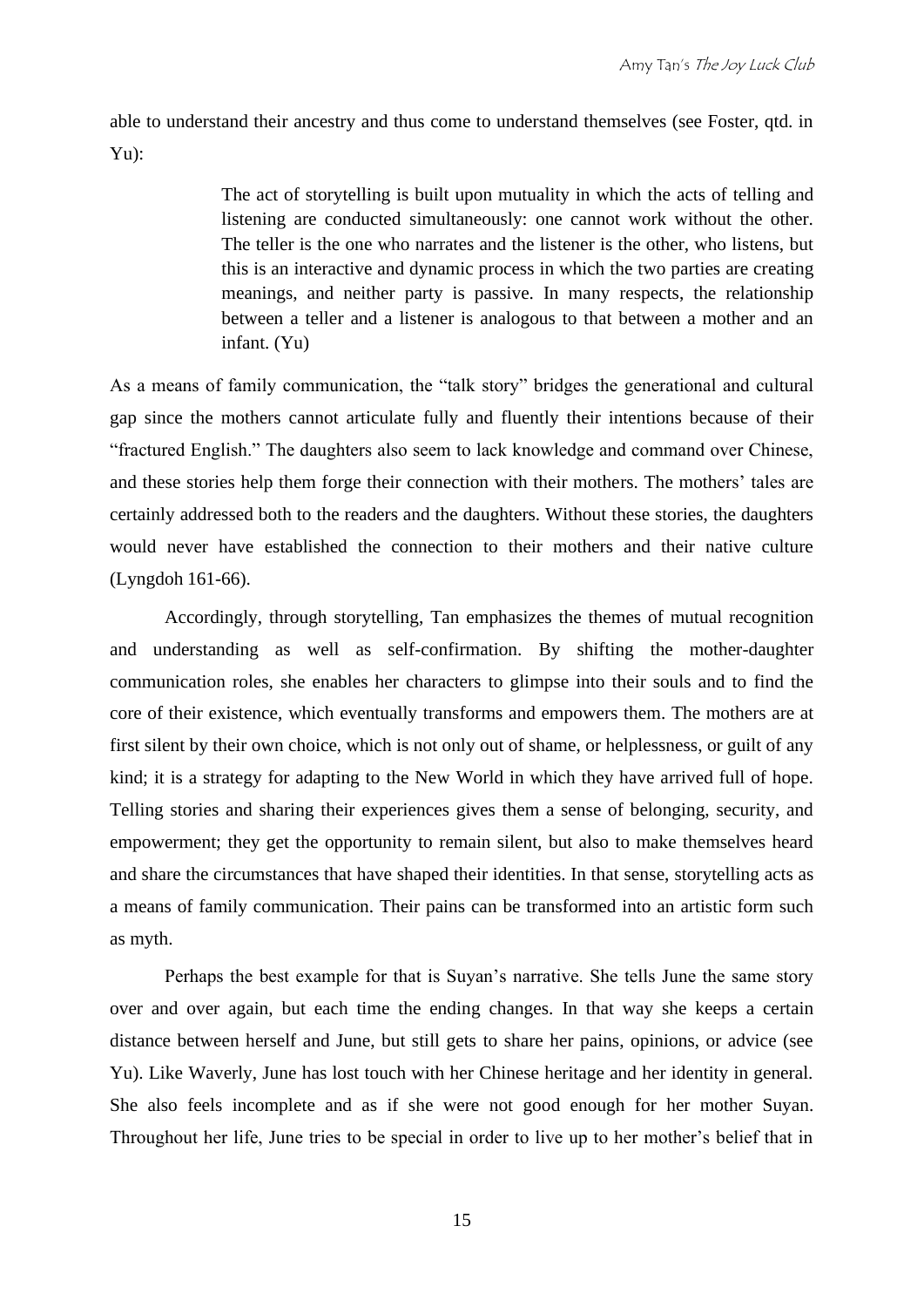able to understand their ancestry and thus come to understand themselves (see Foster, qtd. in Yu):

> The act of storytelling is built upon mutuality in which the acts of telling and listening are conducted simultaneously: one cannot work without the other. The teller is the one who narrates and the listener is the other, who listens, but this is an interactive and dynamic process in which the two parties are creating meanings, and neither party is passive. In many respects, the relationship between a teller and a listener is analogous to that between a mother and an infant. (Yu)

As a means of family communication, the "talk story" bridges the generational and cultural gap since the mothers cannot articulate fully and fluently their intentions because of their "fractured English." The daughters also seem to lack knowledge and command over Chinese, and these stories help them forge their connection with their mothers. The mothers' tales are certainly addressed both to the readers and the daughters. Without these stories, the daughters would never have established the connection to their mothers and their native culture (Lyngdoh 161-66).

Accordingly, through storytelling, Tan emphasizes the themes of mutual recognition and understanding as well as self-confirmation. By shifting the mother-daughter communication roles, she enables her characters to glimpse into their souls and to find the core of their existence, which eventually transforms and empowers them. The mothers are at first silent by their own choice, which is not only out of shame, or helplessness, or guilt of any kind; it is a strategy for adapting to the New World in which they have arrived full of hope. Telling stories and sharing their experiences gives them a sense of belonging, security, and empowerment; they get the opportunity to remain silent, but also to make themselves heard and share the circumstances that have shaped their identities. In that sense, storytelling acts as a means of family communication. Their pains can be transformed into an artistic form such as myth.

Perhaps the best example for that is Suyan's narrative. She tells June the same story over and over again, but each time the ending changes. In that way she keeps a certain distance between herself and June, but still gets to share her pains, opinions, or advice (see Yu). Like Waverly, June has lost touch with her Chinese heritage and her identity in general. She also feels incomplete and as if she were not good enough for her mother Suyan. Throughout her life, June tries to be special in order to live up to her mother's belief that in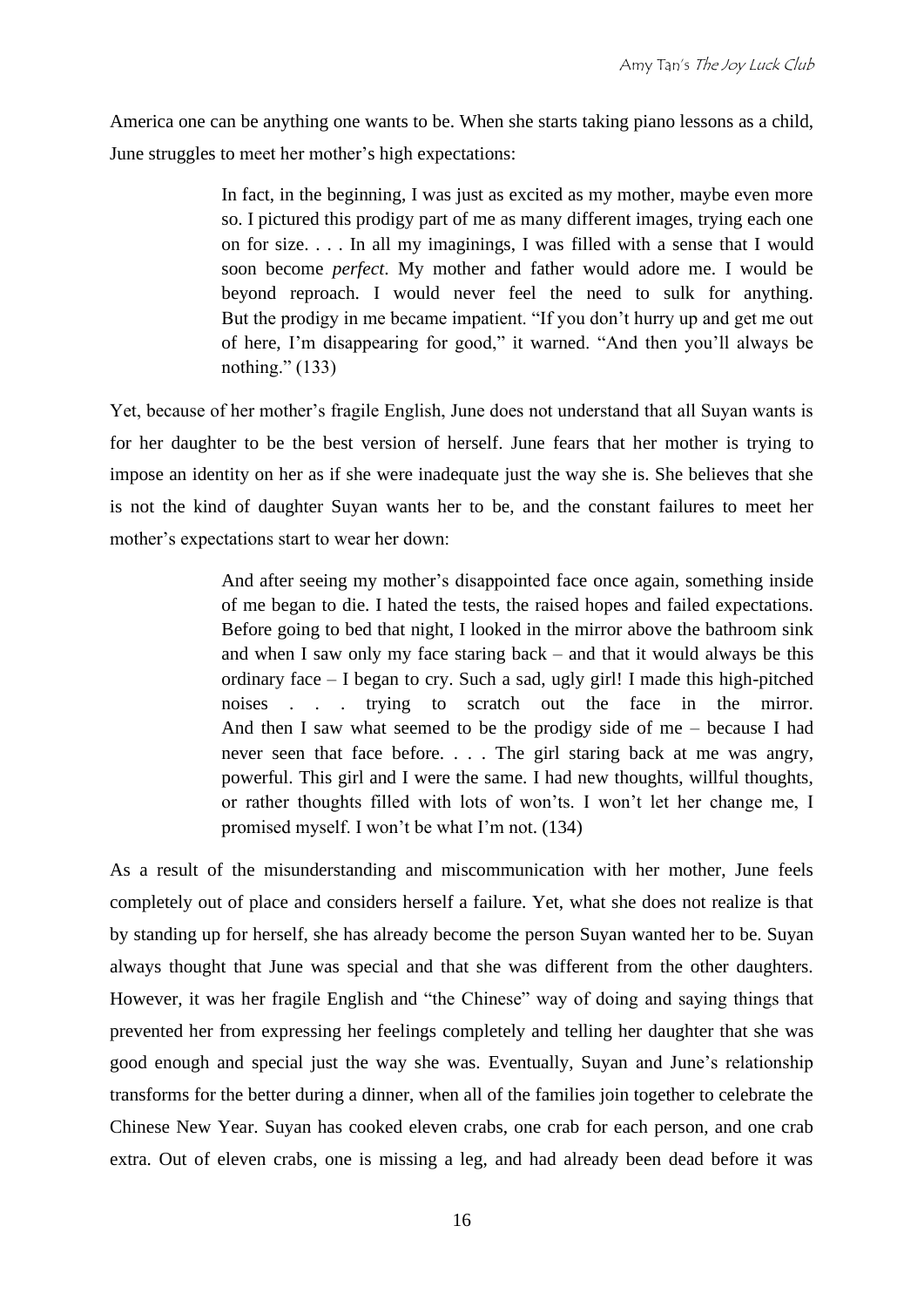America one can be anything one wants to be. When she starts taking piano lessons as a child, June struggles to meet her mother's high expectations:

> In fact, in the beginning, I was just as excited as my mother, maybe even more so. I pictured this prodigy part of me as many different images, trying each one on for size. . . . In all my imaginings, I was filled with a sense that I would soon become *perfect*. My mother and father would adore me. I would be beyond reproach. I would never feel the need to sulk for anything. But the prodigy in me became impatient. "If you don't hurry up and get me out of here, I'm disappearing for good," it warned. "And then you'll always be nothing." (133)

Yet, because of her mother's fragile English, June does not understand that all Suyan wants is for her daughter to be the best version of herself. June fears that her mother is trying to impose an identity on her as if she were inadequate just the way she is. She believes that she is not the kind of daughter Suyan wants her to be, and the constant failures to meet her mother's expectations start to wear her down:

> And after seeing my mother's disappointed face once again, something inside of me began to die. I hated the tests, the raised hopes and failed expectations. Before going to bed that night, I looked in the mirror above the bathroom sink and when I saw only my face staring back – and that it would always be this ordinary face – I began to cry. Such a sad, ugly girl! I made this high-pitched noises . . . trying to scratch out the face in the mirror. And then I saw what seemed to be the prodigy side of me – because I had never seen that face before. . . . The girl staring back at me was angry, powerful. This girl and I were the same. I had new thoughts, willful thoughts, or rather thoughts filled with lots of won'ts. I won't let her change me, I promised myself. I won't be what I'm not. (134)

As a result of the misunderstanding and miscommunication with her mother, June feels completely out of place and considers herself a failure. Yet, what she does not realize is that by standing up for herself, she has already become the person Suyan wanted her to be. Suyan always thought that June was special and that she was different from the other daughters. However, it was her fragile English and "the Chinese" way of doing and saying things that prevented her from expressing her feelings completely and telling her daughter that she was good enough and special just the way she was. Eventually, Suyan and June's relationship transforms for the better during a dinner, when all of the families join together to celebrate the Chinese New Year. Suyan has cooked eleven crabs, one crab for each person, and one crab extra. Out of eleven crabs, one is missing a leg, and had already been dead before it was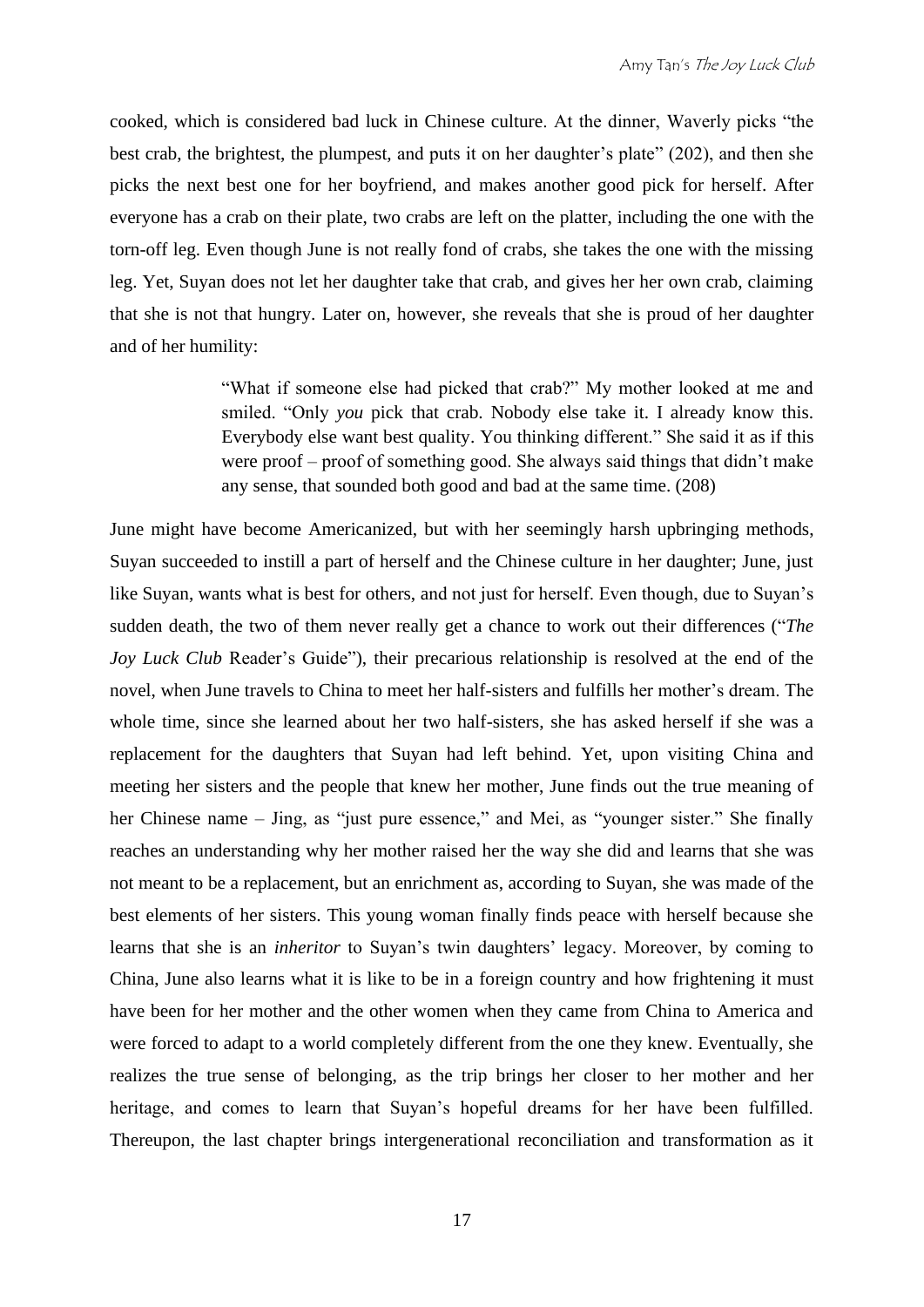cooked, which is considered bad luck in Chinese culture. At the dinner, Waverly picks "the best crab, the brightest, the plumpest, and puts it on her daughter's plate" (202), and then she picks the next best one for her boyfriend, and makes another good pick for herself. After everyone has a crab on their plate, two crabs are left on the platter, including the one with the torn-off leg. Even though June is not really fond of crabs, she takes the one with the missing leg. Yet, Suyan does not let her daughter take that crab, and gives her her own crab, claiming that she is not that hungry. Later on, however, she reveals that she is proud of her daughter and of her humility:

> "What if someone else had picked that crab?" My mother looked at me and smiled. "Only *you* pick that crab. Nobody else take it. I already know this. Everybody else want best quality. You thinking different." She said it as if this were proof – proof of something good. She always said things that didn't make any sense, that sounded both good and bad at the same time. (208)

June might have become Americanized, but with her seemingly harsh upbringing methods, Suyan succeeded to instill a part of herself and the Chinese culture in her daughter; June, just like Suyan, wants what is best for others, and not just for herself. Even though, due to Suyan's sudden death, the two of them never really get a chance to work out their differences ("*The Joy Luck Club* Reader's Guide"), their precarious relationship is resolved at the end of the novel, when June travels to China to meet her half-sisters and fulfills her mother's dream. The whole time, since she learned about her two half-sisters, she has asked herself if she was a replacement for the daughters that Suyan had left behind. Yet, upon visiting China and meeting her sisters and the people that knew her mother, June finds out the true meaning of her Chinese name – Jing, as "just pure essence," and Mei, as "younger sister." She finally reaches an understanding why her mother raised her the way she did and learns that she was not meant to be a replacement, but an enrichment as, according to Suyan, she was made of the best elements of her sisters. This young woman finally finds peace with herself because she learns that she is an *inheritor* to Suyan's twin daughters' legacy. Moreover, by coming to China, June also learns what it is like to be in a foreign country and how frightening it must have been for her mother and the other women when they came from China to America and were forced to adapt to a world completely different from the one they knew. Eventually, she realizes the true sense of belonging, as the trip brings her closer to her mother and her heritage, and comes to learn that Suyan's hopeful dreams for her have been fulfilled. Thereupon, the last chapter brings intergenerational reconciliation and transformation as it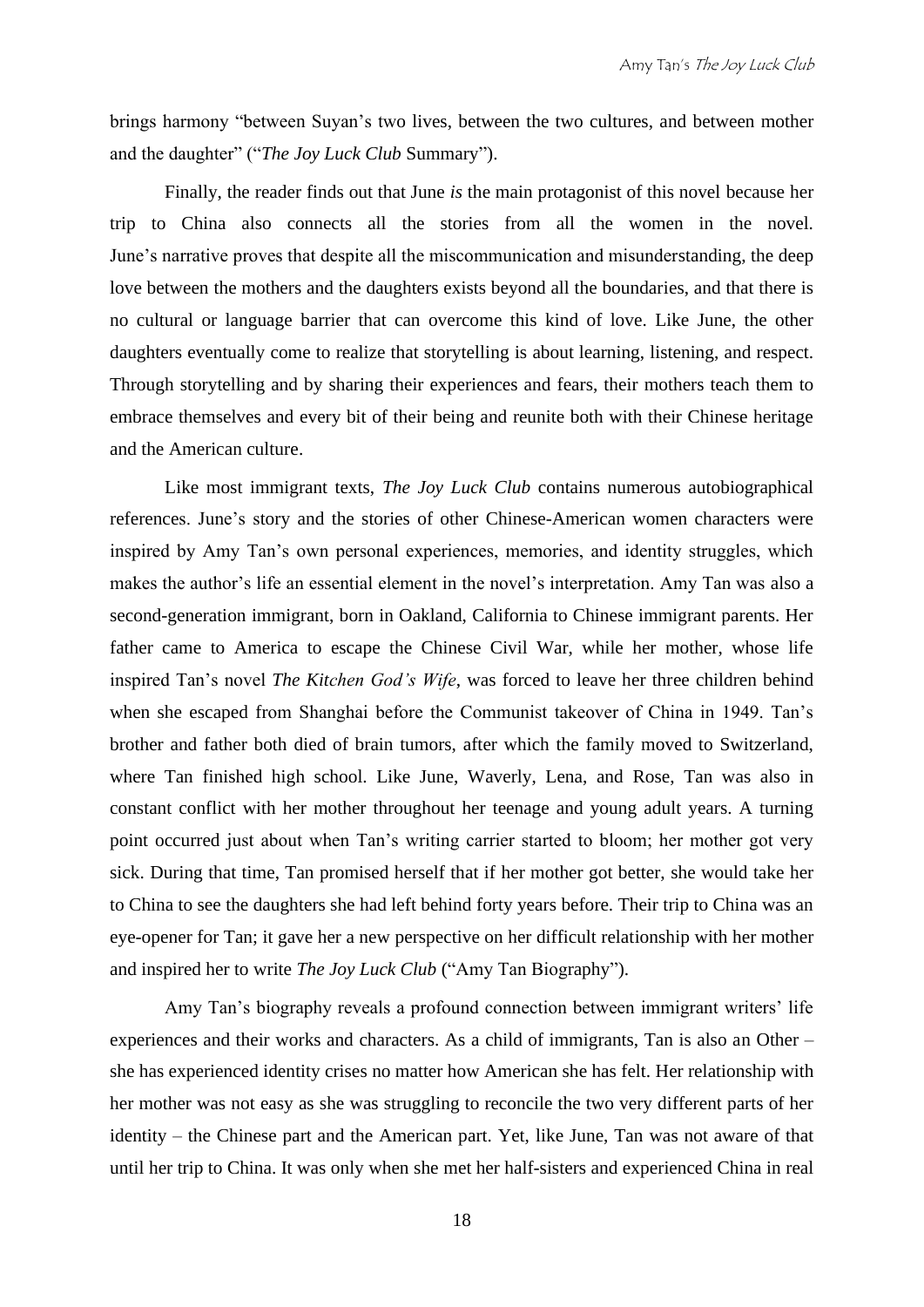brings harmony "between Suyan's two lives, between the two cultures, and between mother and the daughter" ("*The Joy Luck Club* Summary").

Finally, the reader finds out that June *is* the main protagonist of this novel because her trip to China also connects all the stories from all the women in the novel. June's narrative proves that despite all the miscommunication and misunderstanding, the deep love between the mothers and the daughters exists beyond all the boundaries, and that there is no cultural or language barrier that can overcome this kind of love. Like June, the other daughters eventually come to realize that storytelling is about learning, listening, and respect. Through storytelling and by sharing their experiences and fears, their mothers teach them to embrace themselves and every bit of their being and reunite both with their Chinese heritage and the American culture.

Like most immigrant texts, *The Joy Luck Club* contains numerous autobiographical references. June's story and the stories of other Chinese-American women characters were inspired by Amy Tan's own personal experiences, memories, and identity struggles, which makes the author's life an essential element in the novel's interpretation. Amy Tan was also a second-generation immigrant, born in Oakland, California to Chinese immigrant parents. Her father came to America to escape the Chinese Civil War, while her mother, whose life inspired Tan's novel *The Kitchen God's Wife*, was forced to leave her three children behind when she escaped from Shanghai before the Communist takeover of China in 1949. Tan's brother and father both died of brain tumors, after which the family moved to Switzerland, where Tan finished high school. Like June, Waverly, Lena, and Rose, Tan was also in constant conflict with her mother throughout her teenage and young adult years. A turning point occurred just about when Tan's writing carrier started to bloom; her mother got very sick. During that time, Tan promised herself that if her mother got better, she would take her to China to see the daughters she had left behind forty years before. Their trip to China was an eye-opener for Tan; it gave her a new perspective on her difficult relationship with her mother and inspired her to write *The Joy Luck Club* ("Amy Tan Biography").

Amy Tan's biography reveals a profound connection between immigrant writers' life experiences and their works and characters. As a child of immigrants, Tan is also an Other – she has experienced identity crises no matter how American she has felt. Her relationship with her mother was not easy as she was struggling to reconcile the two very different parts of her identity – the Chinese part and the American part. Yet, like June, Tan was not aware of that until her trip to China. It was only when she met her half-sisters and experienced China in real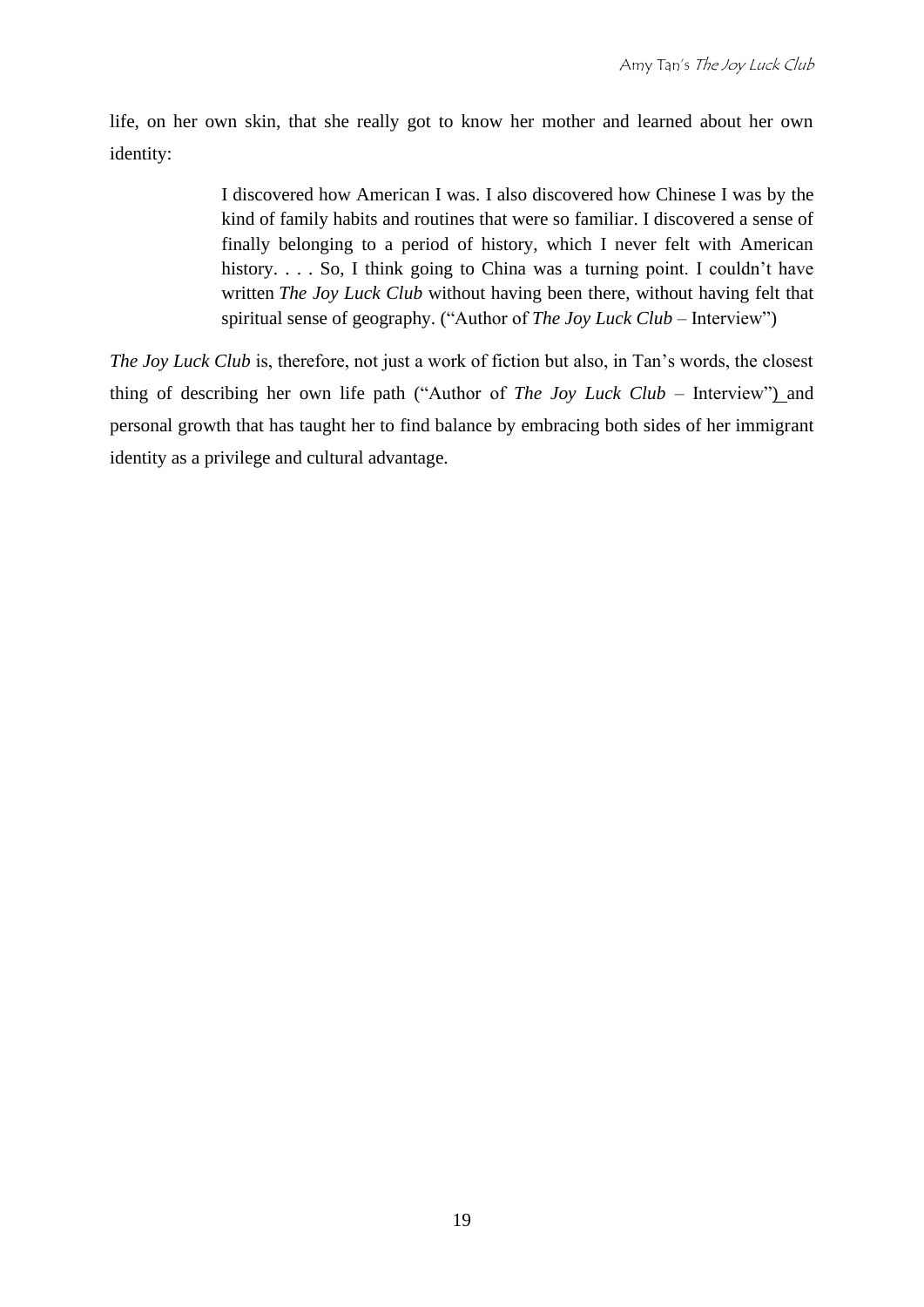life, on her own skin, that she really got to know her mother and learned about her own identity:

> I discovered how American I was. I also discovered how Chinese I was by the kind of family habits and routines that were so familiar. I discovered a sense of finally belonging to a period of history, which I never felt with American history. . . . So, I think going to China was a turning point. I couldn't have written *The Joy Luck Club* without having been there, without having felt that spiritual sense of geography. ("Author of *The Joy Luck Club* – Interview")

*The Joy Luck Club* is, therefore, not just a work of fiction but also, in Tan's words, the closest thing of describing her own life path ("Author of *The Joy Luck Club* – Interview") and personal growth that has taught her to find balance by embracing both sides of her immigrant identity as a privilege and cultural advantage.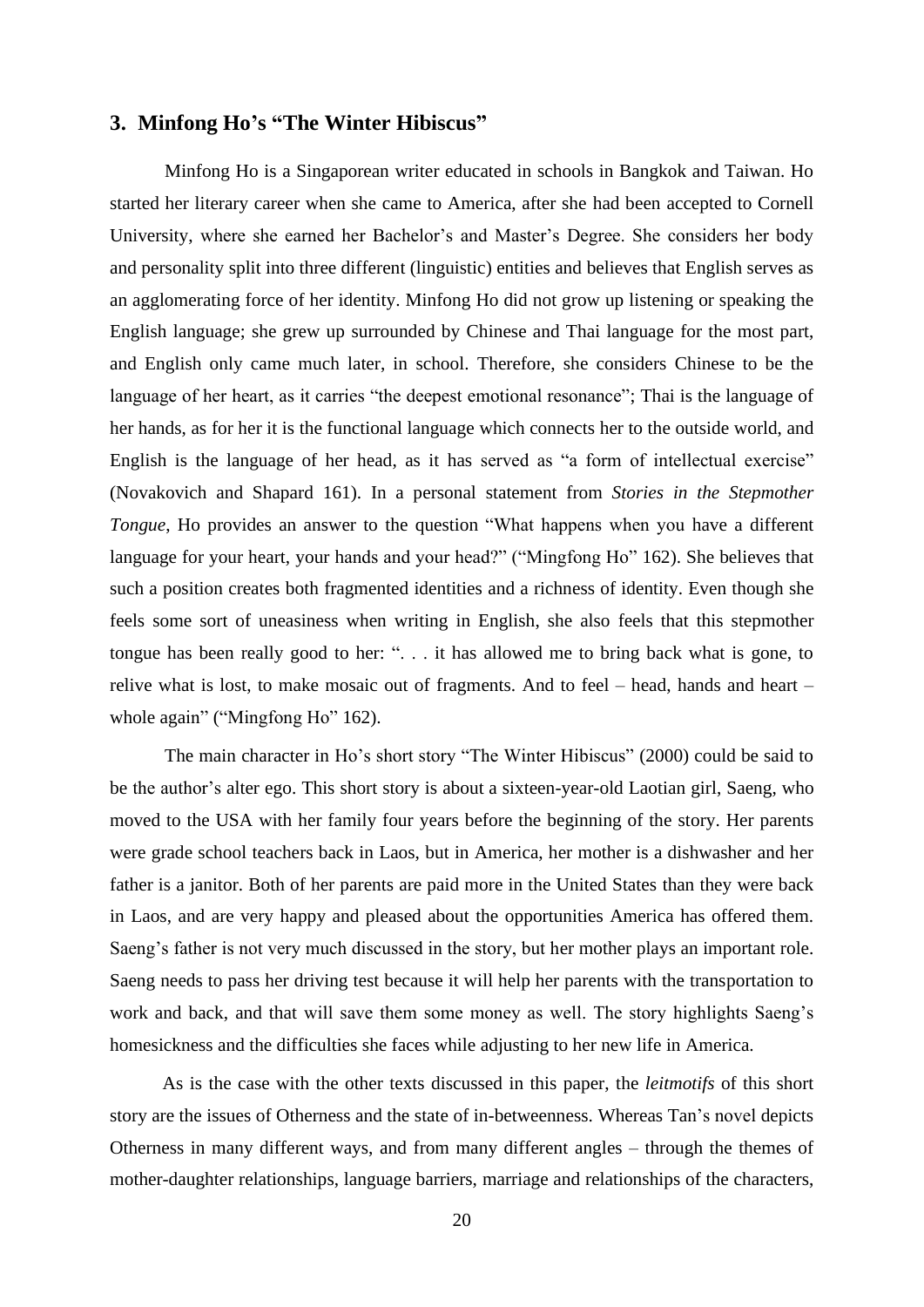#### **3. Minfong Ho's "The Winter Hibiscus"**

Minfong Ho is a Singaporean writer educated in schools in Bangkok and Taiwan. Ho started her literary career when she came to America, after she had been accepted to Cornell University, where she earned her Bachelor's and Master's Degree. She considers her body and personality split into three different (linguistic) entities and believes that English serves as an agglomerating force of her identity. Minfong Ho did not grow up listening or speaking the English language; she grew up surrounded by Chinese and Thai language for the most part, and English only came much later, in school. Therefore, she considers Chinese to be the language of her heart, as it carries "the deepest emotional resonance"; Thai is the language of her hands, as for her it is the functional language which connects her to the outside world, and English is the language of her head, as it has served as "a form of intellectual exercise" (Novakovich and Shapard 161). In a personal statement from *Stories in the Stepmother Tongue*, Ho provides an answer to the question "What happens when you have a different language for your heart, your hands and your head?" ("Mingfong Ho" 162). She believes that such a position creates both fragmented identities and a richness of identity. Even though she feels some sort of uneasiness when writing in English, she also feels that this stepmother tongue has been really good to her: ". . . it has allowed me to bring back what is gone, to relive what is lost, to make mosaic out of fragments. And to feel – head, hands and heart – whole again" ("Mingfong Ho" 162).

The main character in Ho's short story "The Winter Hibiscus" (2000) could be said to be the author's alter ego. This short story is about a sixteen-year-old Laotian girl, Saeng, who moved to the USA with her family four years before the beginning of the story. Her parents were grade school teachers back in Laos, but in America, her mother is a dishwasher and her father is a janitor. Both of her parents are paid more in the United States than they were back in Laos, and are very happy and pleased about the opportunities America has offered them. Saeng's father is not very much discussed in the story, but her mother plays an important role. Saeng needs to pass her driving test because it will help her parents with the transportation to work and back, and that will save them some money as well. The story highlights Saeng's homesickness and the difficulties she faces while adjusting to her new life in America.

As is the case with the other texts discussed in this paper, the *leitmotifs* of this short story are the issues of Otherness and the state of in-betweenness. Whereas Tan's novel depicts Otherness in many different ways, and from many different angles – through the themes of mother-daughter relationships, language barriers, marriage and relationships of the characters,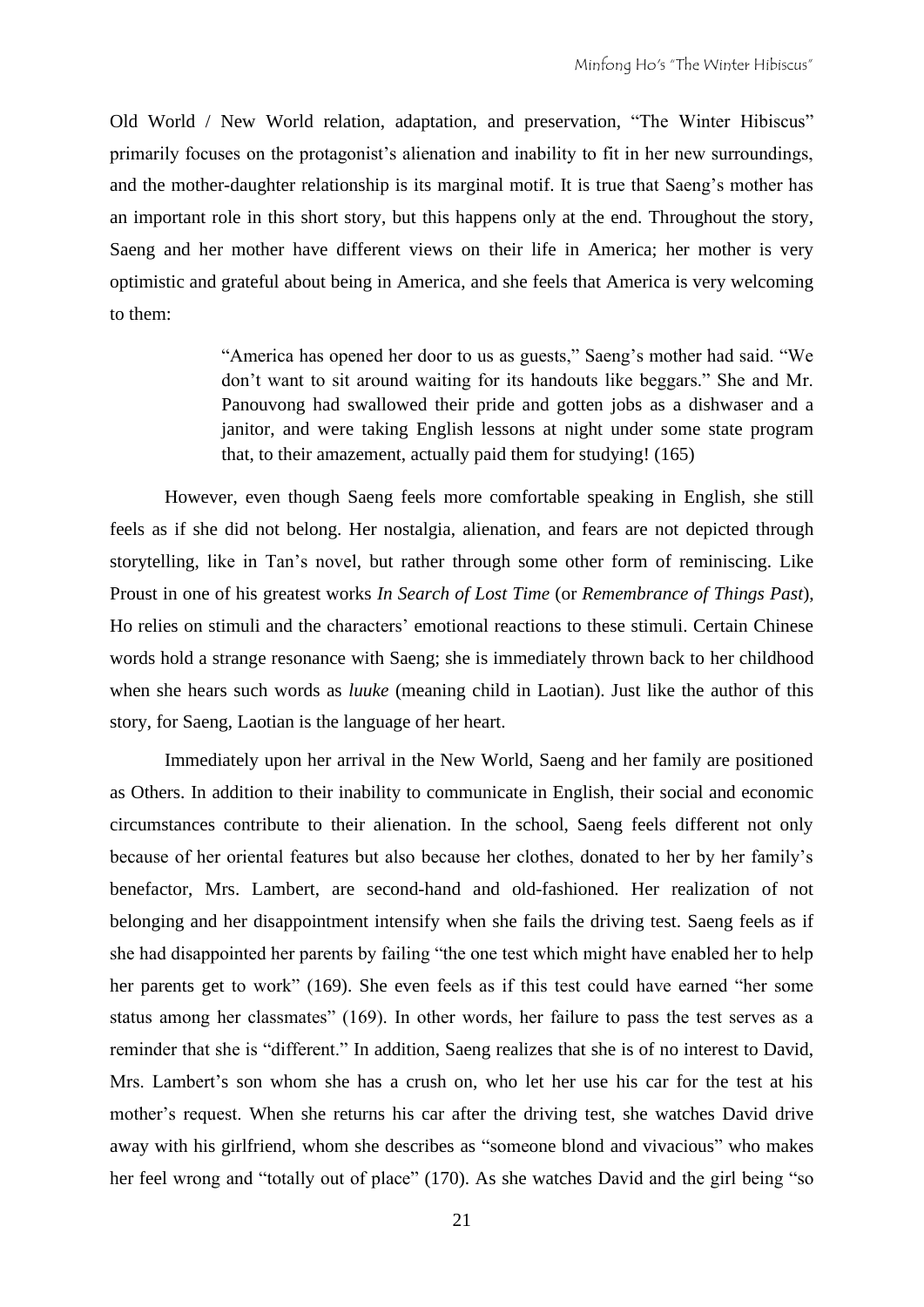Old World / New World relation, adaptation, and preservation, "The Winter Hibiscus" primarily focuses on the protagonist's alienation and inability to fit in her new surroundings, and the mother-daughter relationship is its marginal motif. It is true that Saeng's mother has an important role in this short story, but this happens only at the end. Throughout the story, Saeng and her mother have different views on their life in America; her mother is very optimistic and grateful about being in America, and she feels that America is very welcoming to them:

> "America has opened her door to us as guests," Saeng's mother had said. "We don't want to sit around waiting for its handouts like beggars." She and Mr. Panouvong had swallowed their pride and gotten jobs as a dishwaser and a janitor, and were taking English lessons at night under some state program that, to their amazement, actually paid them for studying! (165)

However, even though Saeng feels more comfortable speaking in English, she still feels as if she did not belong. Her nostalgia, alienation, and fears are not depicted through storytelling, like in Tan's novel, but rather through some other form of reminiscing. Like Proust in one of his greatest works *In Search of Lost Time* (or *Remembrance of Things Past*), Ho relies on stimuli and the characters' emotional reactions to these stimuli. Certain Chinese words hold a strange resonance with Saeng; she is immediately thrown back to her childhood when she hears such words as *luuke* (meaning child in Laotian). Just like the author of this story, for Saeng, Laotian is the language of her heart.

Immediately upon her arrival in the New World, Saeng and her family are positioned as Others. In addition to their inability to communicate in English, their social and economic circumstances contribute to their alienation. In the school, Saeng feels different not only because of her oriental features but also because her clothes, donated to her by her family's benefactor, Mrs. Lambert, are second-hand and old-fashioned. Her realization of not belonging and her disappointment intensify when she fails the driving test. Saeng feels as if she had disappointed her parents by failing "the one test which might have enabled her to help her parents get to work" (169). She even feels as if this test could have earned "her some status among her classmates" (169). In other words, her failure to pass the test serves as a reminder that she is "different." In addition, Saeng realizes that she is of no interest to David, Mrs. Lambert's son whom she has a crush on, who let her use his car for the test at his mother's request. When she returns his car after the driving test, she watches David drive away with his girlfriend, whom she describes as "someone blond and vivacious" who makes her feel wrong and "totally out of place" (170). As she watches David and the girl being "so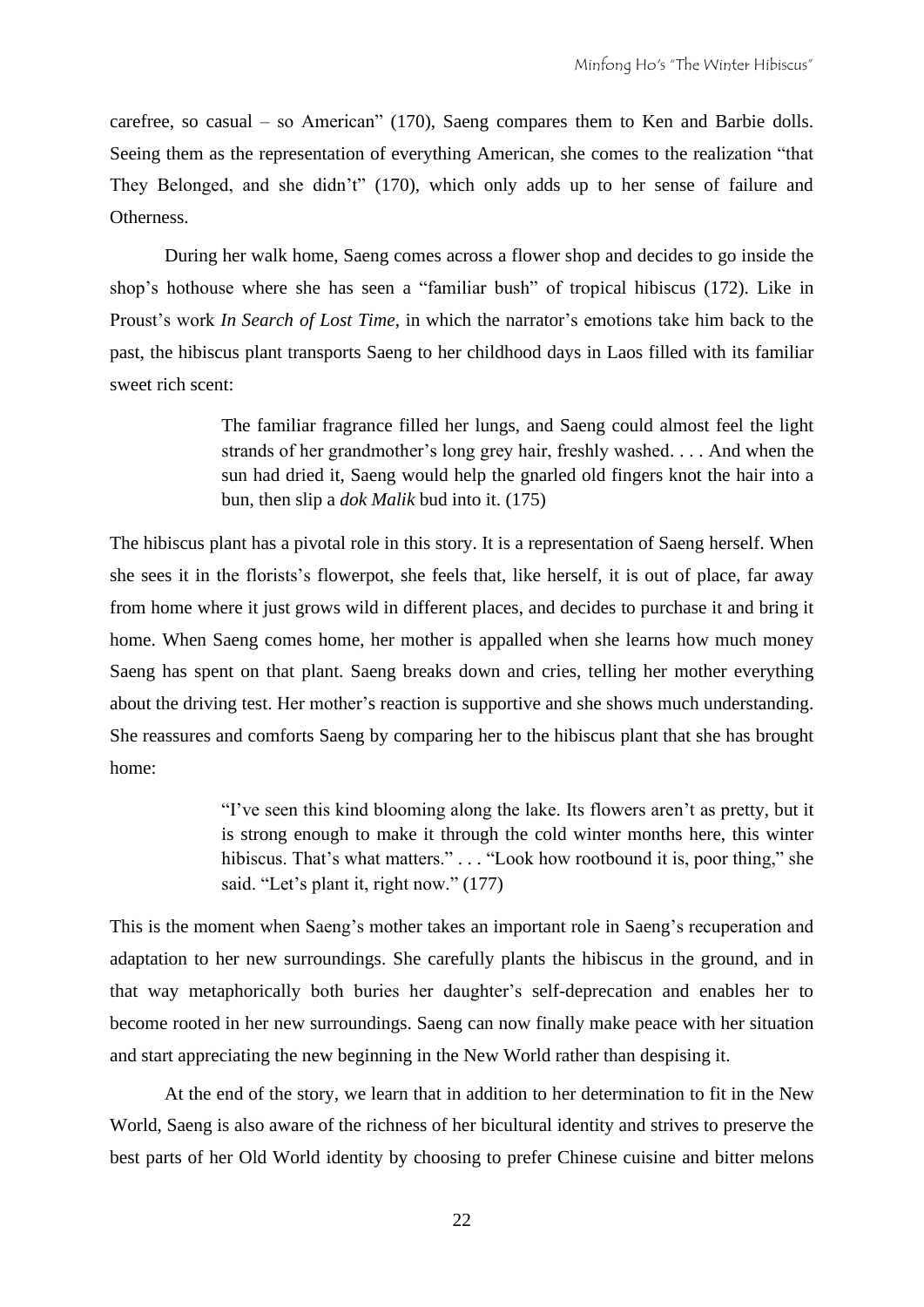carefree, so casual – so American" (170), Saeng compares them to Ken and Barbie dolls. Seeing them as the representation of everything American, she comes to the realization "that They Belonged, and she didn't" (170), which only adds up to her sense of failure and **Otherness** 

During her walk home, Saeng comes across a flower shop and decides to go inside the shop's hothouse where she has seen a "familiar bush" of tropical hibiscus (172). Like in Proust's work *In Search of Lost Time*, in which the narrator's emotions take him back to the past, the hibiscus plant transports Saeng to her childhood days in Laos filled with its familiar sweet rich scent:

> The familiar fragrance filled her lungs, and Saeng could almost feel the light strands of her grandmother's long grey hair, freshly washed. . . . And when the sun had dried it, Saeng would help the gnarled old fingers knot the hair into a bun, then slip a *dok Malik* bud into it. (175)

The hibiscus plant has a pivotal role in this story. It is a representation of Saeng herself. When she sees it in the florists's flowerpot, she feels that, like herself, it is out of place, far away from home where it just grows wild in different places, and decides to purchase it and bring it home. When Saeng comes home, her mother is appalled when she learns how much money Saeng has spent on that plant. Saeng breaks down and cries, telling her mother everything about the driving test. Her mother's reaction is supportive and she shows much understanding. She reassures and comforts Saeng by comparing her to the hibiscus plant that she has brought home:

> "I've seen this kind blooming along the lake. Its flowers aren't as pretty, but it is strong enough to make it through the cold winter months here, this winter hibiscus. That's what matters." . . . "Look how rootbound it is, poor thing," she said. "Let's plant it, right now." (177)

This is the moment when Saeng's mother takes an important role in Saeng's recuperation and adaptation to her new surroundings. She carefully plants the hibiscus in the ground, and in that way metaphorically both buries her daughter's self-deprecation and enables her to become rooted in her new surroundings. Saeng can now finally make peace with her situation and start appreciating the new beginning in the New World rather than despising it.

At the end of the story, we learn that in addition to her determination to fit in the New World, Saeng is also aware of the richness of her bicultural identity and strives to preserve the best parts of her Old World identity by choosing to prefer Chinese cuisine and bitter melons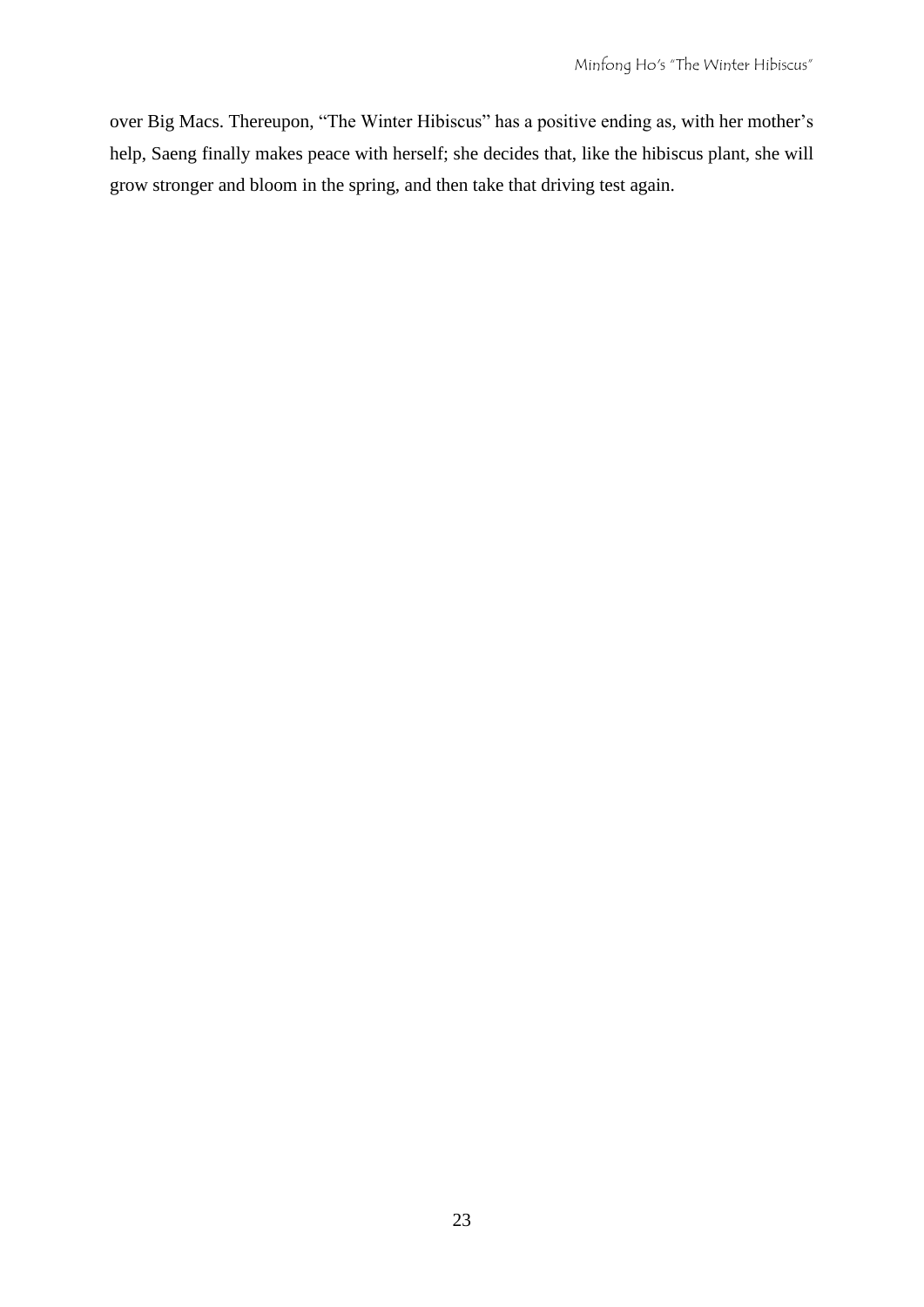over Big Macs. Thereupon, "The Winter Hibiscus" has a positive ending as, with her mother's help, Saeng finally makes peace with herself; she decides that, like the hibiscus plant, she will grow stronger and bloom in the spring, and then take that driving test again.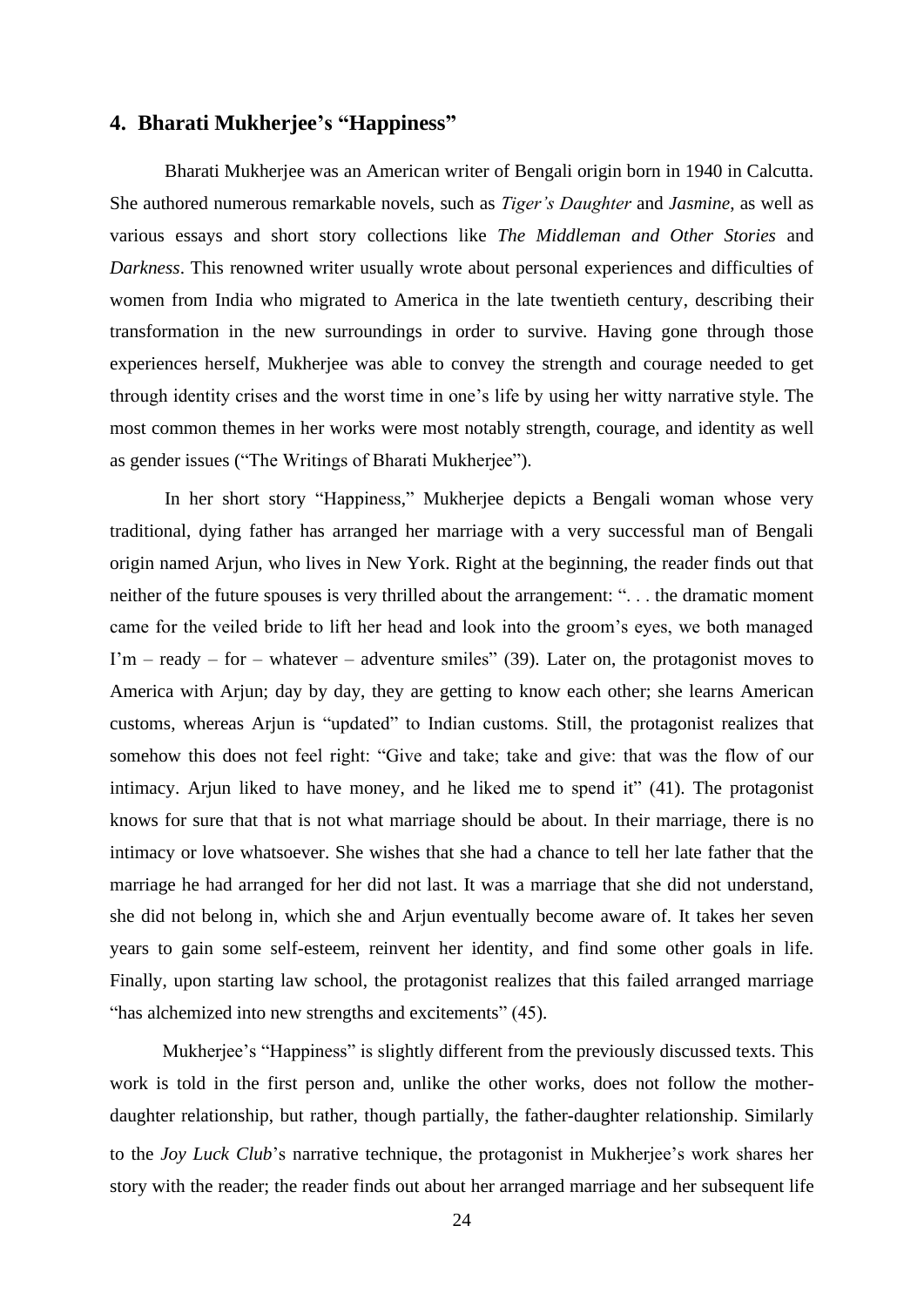#### **4. Bharati Mukherjee's "Happiness"**

Bharati Mukherjee was an American writer of Bengali origin born in 1940 in Calcutta. She authored numerous remarkable novels, such as *Tiger's Daughter* and *Jasmine*, as well as various essays and short story collections like *The Middleman and Other Stories* and *Darkness*. This renowned writer usually wrote about personal experiences and difficulties of women from India who migrated to America in the late twentieth century, describing their transformation in the new surroundings in order to survive. Having gone through those experiences herself, Mukherjee was able to convey the strength and courage needed to get through identity crises and the worst time in one's life by using her witty narrative style. The most common themes in her works were most notably strength, courage, and identity as well as gender issues ("The Writings of Bharati Mukherjee").

In her short story "Happiness," Mukherjee depicts a Bengali woman whose very traditional, dying father has arranged her marriage with a very successful man of Bengali origin named Arjun, who lives in New York. Right at the beginning, the reader finds out that neither of the future spouses is very thrilled about the arrangement: ". . . the dramatic moment came for the veiled bride to lift her head and look into the groom's eyes, we both managed  $\Gamma$ m – ready – for – whatever – adventure smiles" (39). Later on, the protagonist moves to America with Arjun; day by day, they are getting to know each other; she learns American customs, whereas Arjun is "updated" to Indian customs. Still, the protagonist realizes that somehow this does not feel right: "Give and take; take and give: that was the flow of our intimacy. Arjun liked to have money, and he liked me to spend it" (41). The protagonist knows for sure that that is not what marriage should be about. In their marriage, there is no intimacy or love whatsoever. She wishes that she had a chance to tell her late father that the marriage he had arranged for her did not last. It was a marriage that she did not understand, she did not belong in, which she and Arjun eventually become aware of. It takes her seven years to gain some self-esteem, reinvent her identity, and find some other goals in life. Finally, upon starting law school, the protagonist realizes that this failed arranged marriage "has alchemized into new strengths and excitements" (45).

Mukherjee's "Happiness" is slightly different from the previously discussed texts. This work is told in the first person and, unlike the other works, does not follow the motherdaughter relationship, but rather, though partially, the father-daughter relationship. Similarly to the *Joy Luck Club*'s narrative technique, the protagonist in Mukherjee's work shares her story with the reader; the reader finds out about her arranged marriage and her subsequent life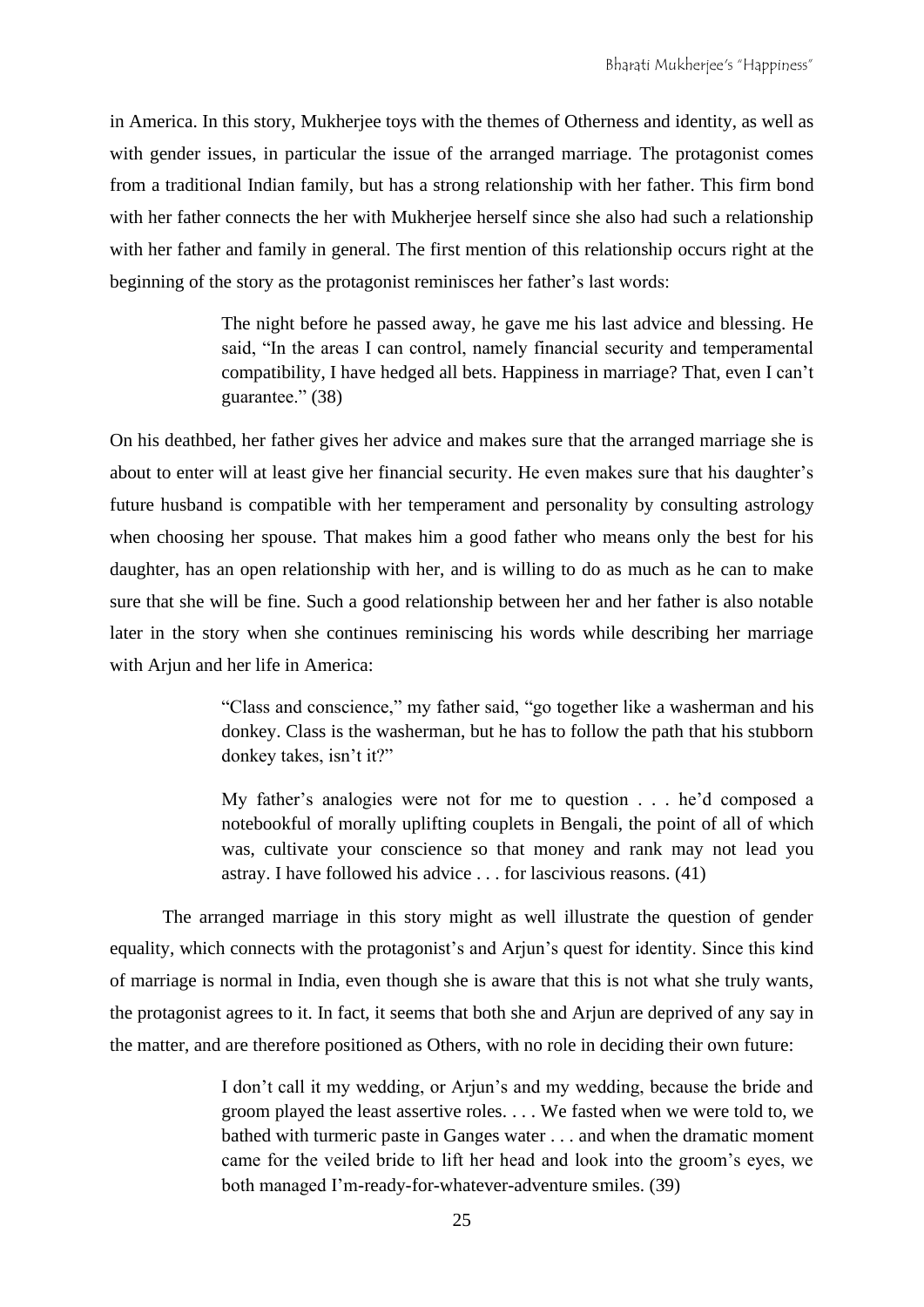in America. In this story, Mukherjee toys with the themes of Otherness and identity, as well as with gender issues, in particular the issue of the arranged marriage. The protagonist comes from a traditional Indian family, but has a strong relationship with her father. This firm bond with her father connects the her with Mukherjee herself since she also had such a relationship with her father and family in general. The first mention of this relationship occurs right at the beginning of the story as the protagonist reminisces her father's last words:

> The night before he passed away, he gave me his last advice and blessing. He said, "In the areas I can control, namely financial security and temperamental compatibility, I have hedged all bets. Happiness in marriage? That, even I can't guarantee." (38)

On his deathbed, her father gives her advice and makes sure that the arranged marriage she is about to enter will at least give her financial security. He even makes sure that his daughter's future husband is compatible with her temperament and personality by consulting astrology when choosing her spouse. That makes him a good father who means only the best for his daughter, has an open relationship with her, and is willing to do as much as he can to make sure that she will be fine. Such a good relationship between her and her father is also notable later in the story when she continues reminiscing his words while describing her marriage with Arjun and her life in America:

> "Class and conscience," my father said, "go together like a washerman and his donkey. Class is the washerman, but he has to follow the path that his stubborn donkey takes, isn't it?"

> My father's analogies were not for me to question . . . he'd composed a notebookful of morally uplifting couplets in Bengali, the point of all of which was, cultivate your conscience so that money and rank may not lead you astray. I have followed his advice . . . for lascivious reasons. (41)

The arranged marriage in this story might as well illustrate the question of gender equality, which connects with the protagonist's and Arjun's quest for identity. Since this kind of marriage is normal in India, even though she is aware that this is not what she truly wants, the protagonist agrees to it. In fact, it seems that both she and Arjun are deprived of any say in the matter, and are therefore positioned as Others, with no role in deciding their own future:

> I don't call it my wedding, or Arjun's and my wedding, because the bride and groom played the least assertive roles. . . . We fasted when we were told to, we bathed with turmeric paste in Ganges water . . . and when the dramatic moment came for the veiled bride to lift her head and look into the groom's eyes, we both managed I'm-ready-for-whatever-adventure smiles. (39)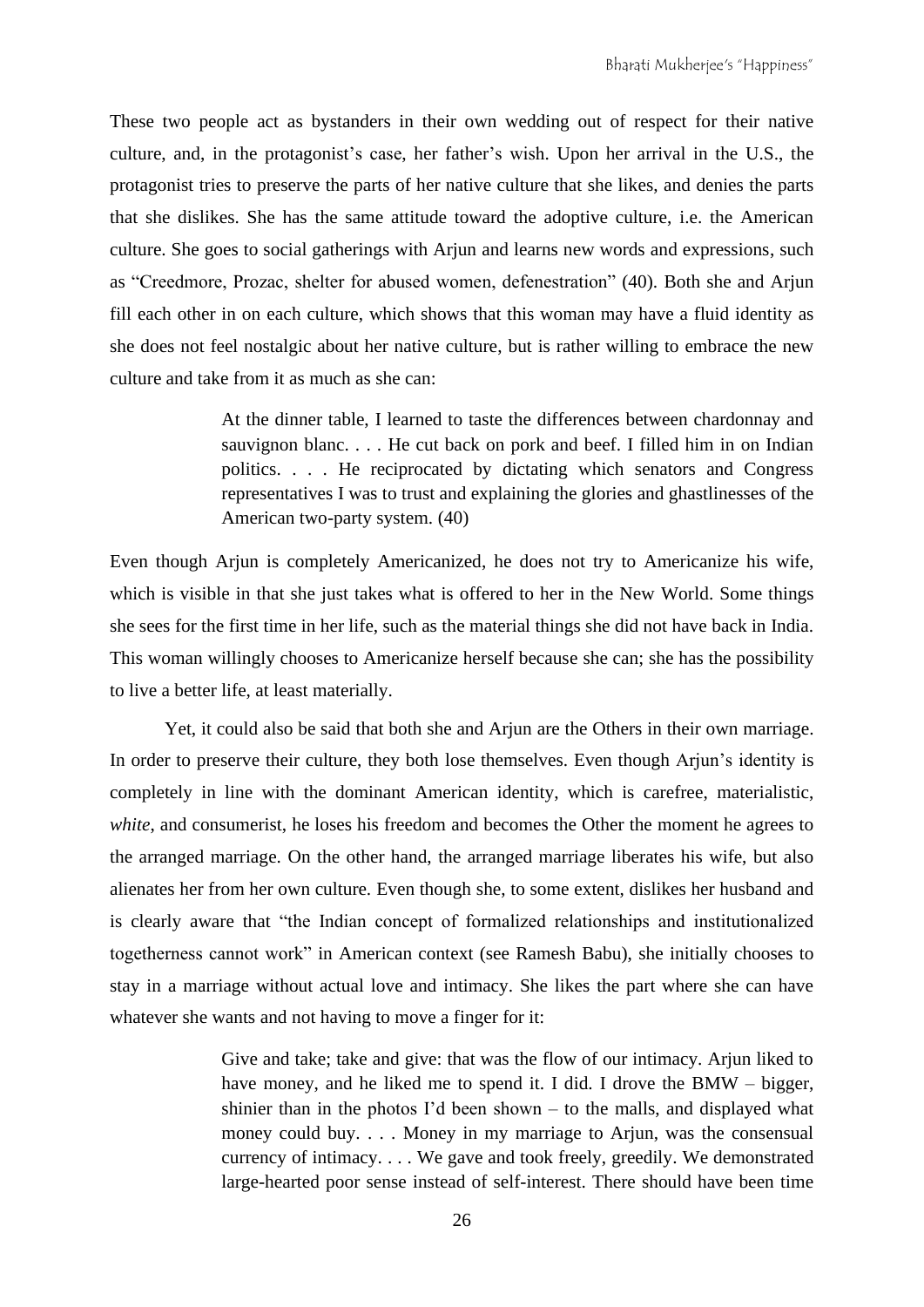These two people act as bystanders in their own wedding out of respect for their native culture, and, in the protagonist's case, her father's wish. Upon her arrival in the U.S., the protagonist tries to preserve the parts of her native culture that she likes, and denies the parts that she dislikes. She has the same attitude toward the adoptive culture, i.e. the American culture. She goes to social gatherings with Arjun and learns new words and expressions, such as "Creedmore, Prozac, shelter for abused women, defenestration" (40). Both she and Arjun fill each other in on each culture, which shows that this woman may have a fluid identity as she does not feel nostalgic about her native culture, but is rather willing to embrace the new culture and take from it as much as she can:

> At the dinner table, I learned to taste the differences between chardonnay and sauvignon blanc. . . . He cut back on pork and beef. I filled him in on Indian politics. . . . He reciprocated by dictating which senators and Congress representatives I was to trust and explaining the glories and ghastlinesses of the American two-party system. (40)

Even though Arjun is completely Americanized, he does not try to Americanize his wife, which is visible in that she just takes what is offered to her in the New World. Some things she sees for the first time in her life, such as the material things she did not have back in India. This woman willingly chooses to Americanize herself because she can; she has the possibility to live a better life, at least materially.

Yet, it could also be said that both she and Arjun are the Others in their own marriage. In order to preserve their culture, they both lose themselves. Even though Arjun's identity is completely in line with the dominant American identity, which is carefree, materialistic, *white*, and consumerist, he loses his freedom and becomes the Other the moment he agrees to the arranged marriage. On the other hand, the arranged marriage liberates his wife, but also alienates her from her own culture. Even though she, to some extent, dislikes her husband and is clearly aware that "the Indian concept of formalized relationships and institutionalized togetherness cannot work" in American context (see Ramesh Babu), she initially chooses to stay in a marriage without actual love and intimacy. She likes the part where she can have whatever she wants and not having to move a finger for it:

> Give and take; take and give: that was the flow of our intimacy. Arjun liked to have money, and he liked me to spend it. I did. I drove the BMW – bigger, shinier than in the photos I'd been shown – to the malls, and displayed what money could buy. . . . Money in my marriage to Arjun, was the consensual currency of intimacy. . . . We gave and took freely, greedily. We demonstrated large-hearted poor sense instead of self-interest. There should have been time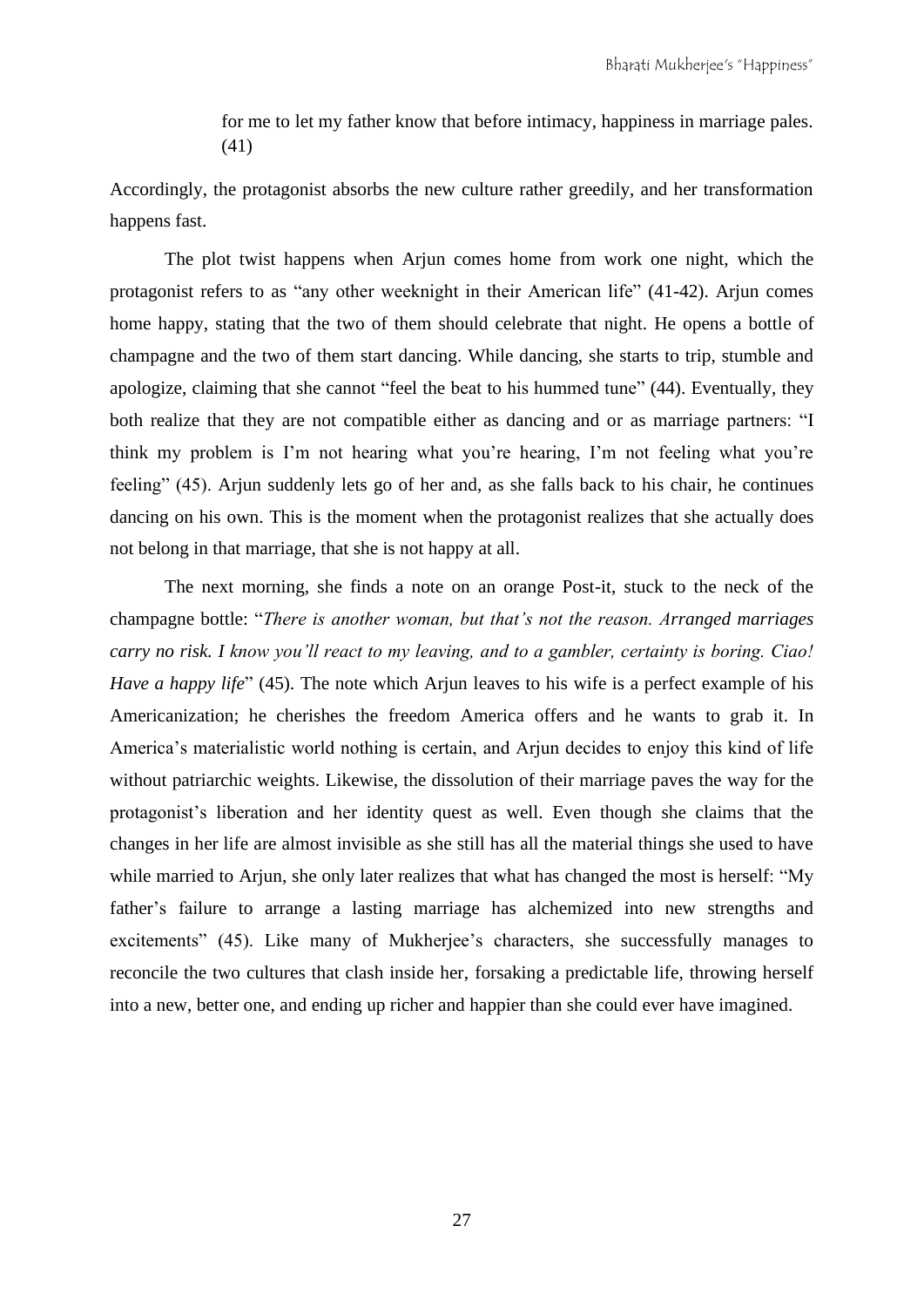for me to let my father know that before intimacy, happiness in marriage pales. (41)

Accordingly, the protagonist absorbs the new culture rather greedily, and her transformation happens fast.

The plot twist happens when Arjun comes home from work one night, which the protagonist refers to as "any other weeknight in their American life" (41-42). Arjun comes home happy, stating that the two of them should celebrate that night. He opens a bottle of champagne and the two of them start dancing. While dancing, she starts to trip, stumble and apologize, claiming that she cannot "feel the beat to his hummed tune" (44). Eventually, they both realize that they are not compatible either as dancing and or as marriage partners: "I think my problem is I'm not hearing what you're hearing, I'm not feeling what you're feeling" (45). Arjun suddenly lets go of her and, as she falls back to his chair, he continues dancing on his own. This is the moment when the protagonist realizes that she actually does not belong in that marriage, that she is not happy at all.

The next morning, she finds a note on an orange Post-it, stuck to the neck of the champagne bottle: "*There is another woman, but that's not the reason. Arranged marriages carry no risk. I know you'll react to my leaving, and to a gambler, certainty is boring. Ciao! Have a happy life*" (45). The note which Arjun leaves to his wife is a perfect example of his Americanization; he cherishes the freedom America offers and he wants to grab it. In America's materialistic world nothing is certain, and Arjun decides to enjoy this kind of life without patriarchic weights. Likewise, the dissolution of their marriage paves the way for the protagonist's liberation and her identity quest as well. Even though she claims that the changes in her life are almost invisible as she still has all the material things she used to have while married to Arjun, she only later realizes that what has changed the most is herself: "My father's failure to arrange a lasting marriage has alchemized into new strengths and excitements" (45). Like many of Mukherjee's characters, she successfully manages to reconcile the two cultures that clash inside her, forsaking a predictable life, throwing herself into a new, better one, and ending up richer and happier than she could ever have imagined.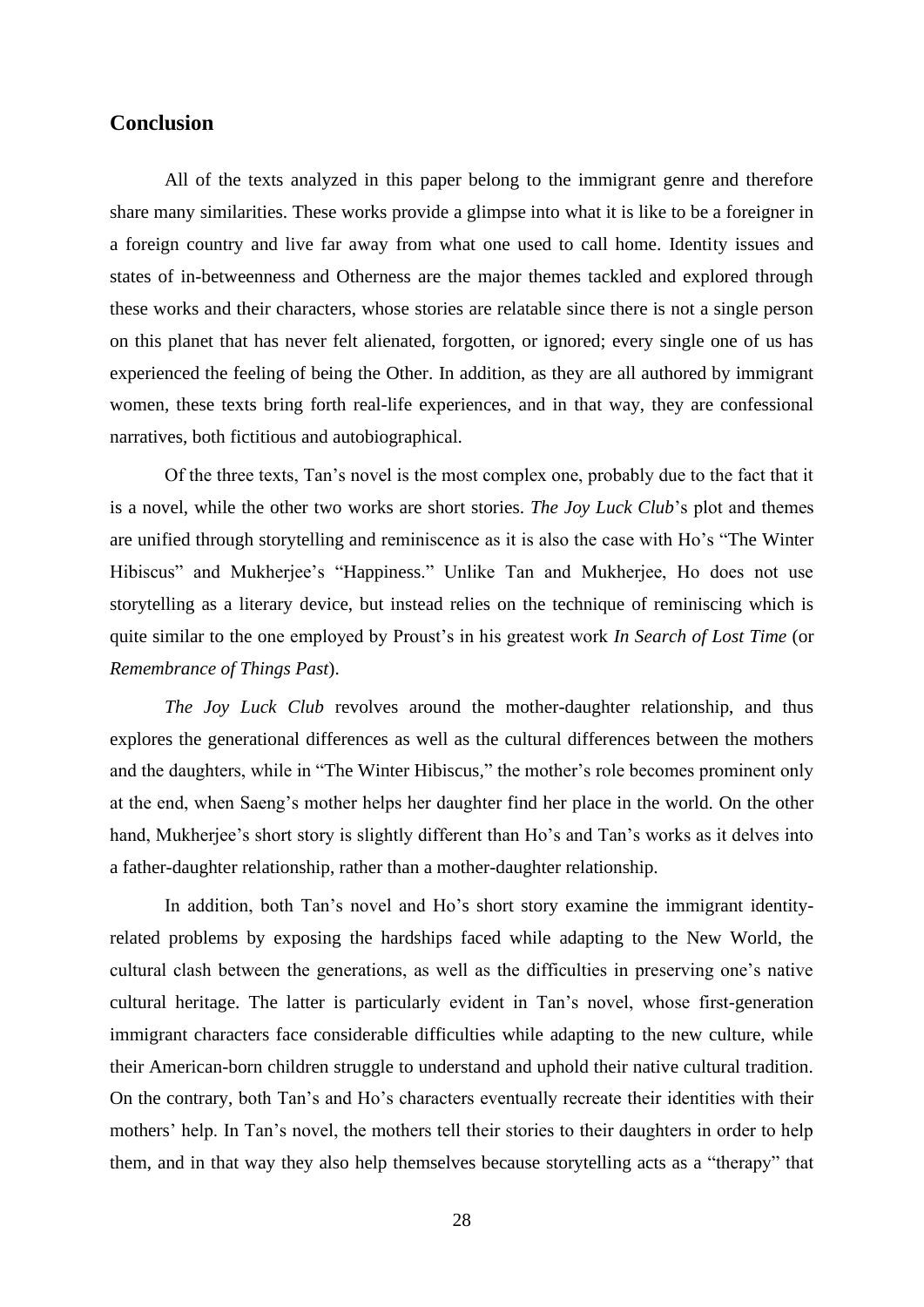#### **Conclusion**

All of the texts analyzed in this paper belong to the immigrant genre and therefore share many similarities. These works provide a glimpse into what it is like to be a foreigner in a foreign country and live far away from what one used to call home. Identity issues and states of in-betweenness and Otherness are the major themes tackled and explored through these works and their characters, whose stories are relatable since there is not a single person on this planet that has never felt alienated, forgotten, or ignored; every single one of us has experienced the feeling of being the Other. In addition, as they are all authored by immigrant women, these texts bring forth real-life experiences, and in that way, they are confessional narratives, both fictitious and autobiographical.

Of the three texts, Tan's novel is the most complex one, probably due to the fact that it is a novel, while the other two works are short stories. *The Joy Luck Club*'s plot and themes are unified through storytelling and reminiscence as it is also the case with Ho's "The Winter Hibiscus" and Mukherjee's "Happiness." Unlike Tan and Mukherjee, Ho does not use storytelling as a literary device, but instead relies on the technique of reminiscing which is quite similar to the one employed by Proust's in his greatest work *In Search of Lost Time* (or *Remembrance of Things Past*).

*The Joy Luck Club* revolves around the mother-daughter relationship, and thus explores the generational differences as well as the cultural differences between the mothers and the daughters, while in "The Winter Hibiscus*,*" the mother's role becomes prominent only at the end, when Saeng's mother helps her daughter find her place in the world. On the other hand, Mukherjee's short story is slightly different than Ho's and Tan's works as it delves into a father-daughter relationship, rather than a mother-daughter relationship.

In addition, both Tan's novel and Ho's short story examine the immigrant identityrelated problems by exposing the hardships faced while adapting to the New World, the cultural clash between the generations, as well as the difficulties in preserving one's native cultural heritage. The latter is particularly evident in Tan's novel, whose first-generation immigrant characters face considerable difficulties while adapting to the new culture, while their American-born children struggle to understand and uphold their native cultural tradition. On the contrary, both Tan's and Ho's characters eventually recreate their identities with their mothers' help. In Tan's novel, the mothers tell their stories to their daughters in order to help them, and in that way they also help themselves because storytelling acts as a "therapy" that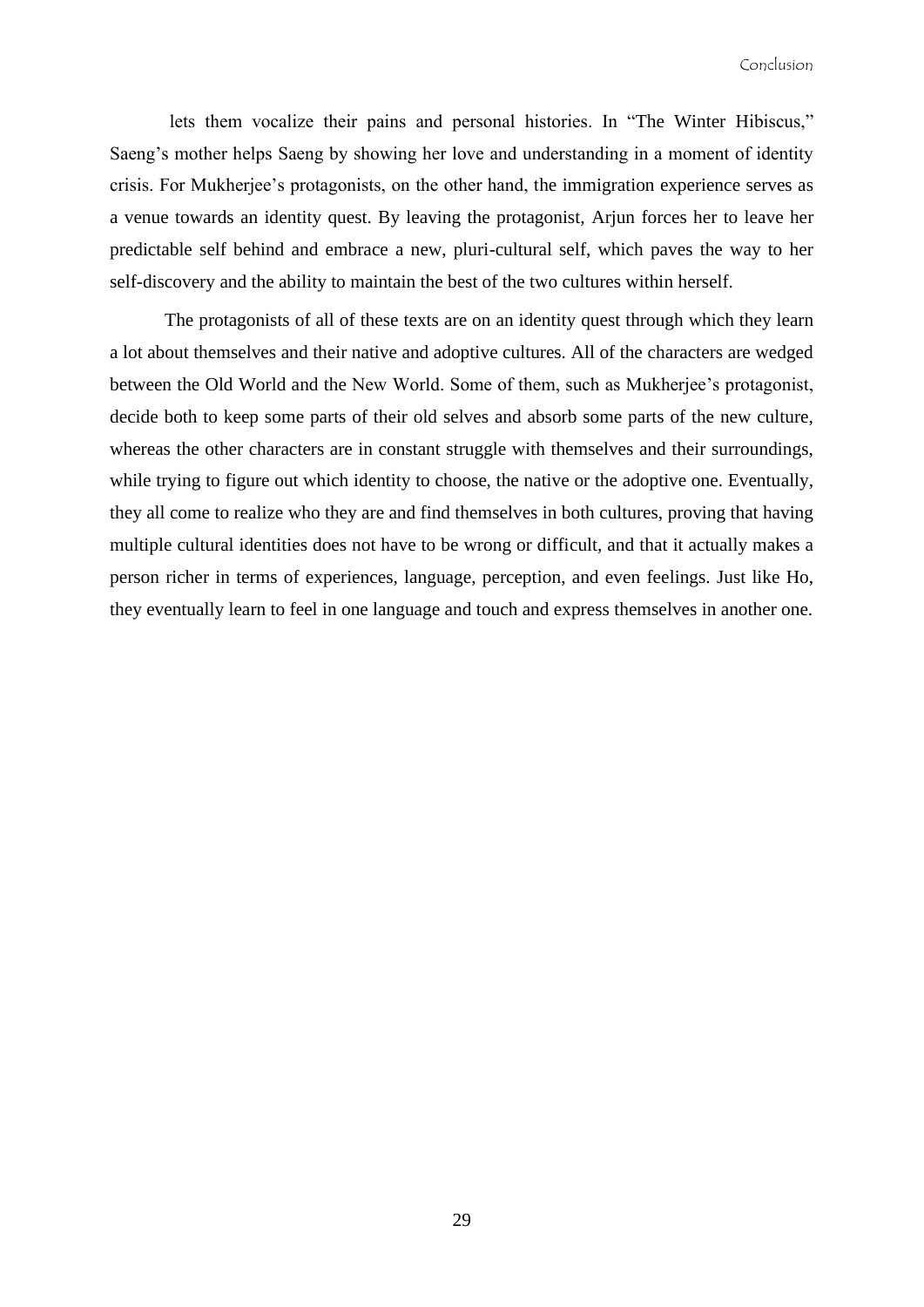lets them vocalize their pains and personal histories. In "The Winter Hibiscus," Saeng's mother helps Saeng by showing her love and understanding in a moment of identity crisis. For Mukherjee's protagonists, on the other hand, the immigration experience serves as a venue towards an identity quest. By leaving the protagonist, Arjun forces her to leave her predictable self behind and embrace a new, pluri-cultural self, which paves the way to her self-discovery and the ability to maintain the best of the two cultures within herself.

The protagonists of all of these texts are on an identity quest through which they learn a lot about themselves and their native and adoptive cultures. All of the characters are wedged between the Old World and the New World. Some of them, such as Mukherjee's protagonist, decide both to keep some parts of their old selves and absorb some parts of the new culture, whereas the other characters are in constant struggle with themselves and their surroundings, while trying to figure out which identity to choose, the native or the adoptive one. Eventually, they all come to realize who they are and find themselves in both cultures, proving that having multiple cultural identities does not have to be wrong or difficult, and that it actually makes a person richer in terms of experiences, language, perception, and even feelings. Just like Ho, they eventually learn to feel in one language and touch and express themselves in another one.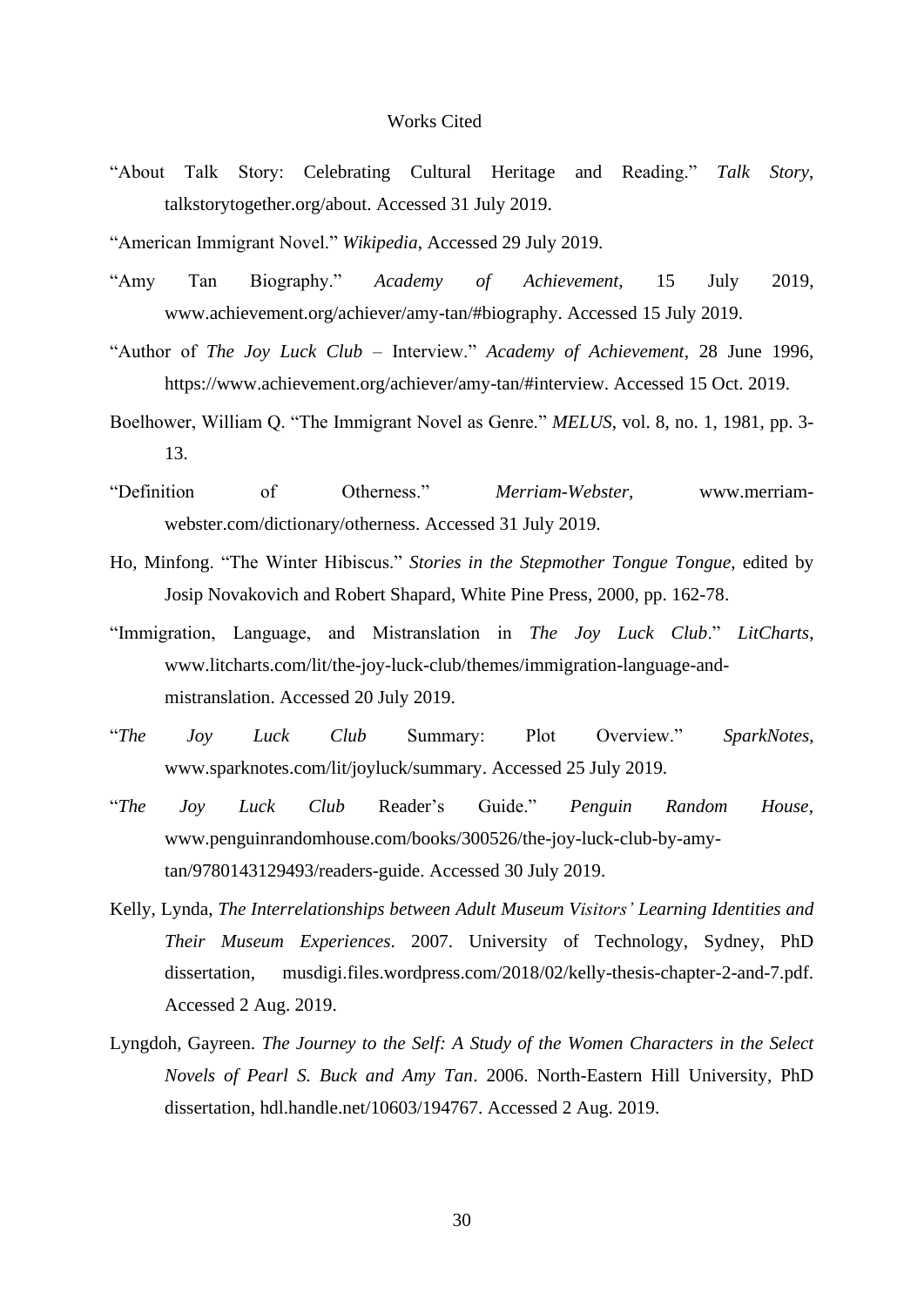#### Works Cited

- "About Talk Story: Celebrating Cultural Heritage and Reading." *Talk Story*, talkstorytogether.org/about. Accessed 31 July 2019.
- "American Immigrant Novel." *Wikipedia*, Accessed 29 July 2019.
- "Amy Tan Biography." *Academy of Achievement*, 15 July 2019, [www.achievement.org/achiever/amy-tan/#biography.](http://www.achievement.org/achiever/amy-tan/#biography) Accessed 15 July 2019.
- "Author of *The Joy Luck Club* Interview." *Academy of Achievement*, 28 June 1996, [https://www.achievement.org/achiever/amy-tan/#interview.](https://www.achievement.org/achiever/amy-tan/#interview) Accessed 15 Oct. 2019.
- Boelhower, William Q. "The Immigrant Novel as Genre." *MELUS*, vol. 8, no. 1, 1981, pp. 3- 13.
- "Definition of Otherness." *Merriam-Webster*, [www.merriam](http://www.merriam-webster.com/dictionary/otherness)[webster.com/dictionary/otherness.](http://www.merriam-webster.com/dictionary/otherness) Accessed 31 July 2019.
- Ho, Minfong. "The Winter Hibiscus." *Stories in the Stepmother Tongue Tongue*, edited by Josip Novakovich and Robert Shapard, White Pine Press, 2000, pp. 162-78.
- "Immigration, Language, and Mistranslation in *The Joy Luck Club*." *LitCharts*, [www.litcharts.com/lit/the-joy-luck-club/themes/immigration-language-and](www.litcharts.com/lit/the-joy-luck-club/themes/immigration-language-and-mistranslation)[mistranslation.](www.litcharts.com/lit/the-joy-luck-club/themes/immigration-language-and-mistranslation) Accessed 20 July 2019.
- "*The Joy Luck Club* Summary: Plot Overview." *SparkNotes*, [www.sparknotes.com/lit/joyluck/summary.](http://www.sparknotes.com/lit/joyluck/summary) Accessed 25 July 2019.
- "*The Joy Luck Club* Reader's Guide." *Penguin Random House*, [www.penguinrandomhouse.com/books/300526/the-joy-luck-club-by-amy](www.penguinrandomhouse.com/books/300526/the-joy-luck-club-by-amy-tan/9780143129493/readers-guide)[tan/9780143129493/readers-guide.](www.penguinrandomhouse.com/books/300526/the-joy-luck-club-by-amy-tan/9780143129493/readers-guide) Accessed 30 July 2019.
- Kelly, Lynda, *The Interrelationships between Adult Museum Visitors' Learning Identities and Their Museum Experiences*. 2007. University of Technology, Sydney, PhD dissertation, [musdigi.files.wordpress.com/2018/02/kelly-thesis-chapter-2-and-7.pdf.](https://musdigi.files.wordpress.com/2018/02/kelly-thesis-chapter-2-and-7.pdf) Accessed 2 Aug. 2019.
- Lyngdoh, Gayreen. *The Journey to the Self: A Study of the Women Characters in the Select Novels of Pearl S. Buck and Amy Tan*. 2006. North-Eastern Hill University, PhD dissertation, [hdl.handle.net/10603/194767.](http://hdl.handle.net/10603/194767) Accessed 2 Aug. 2019.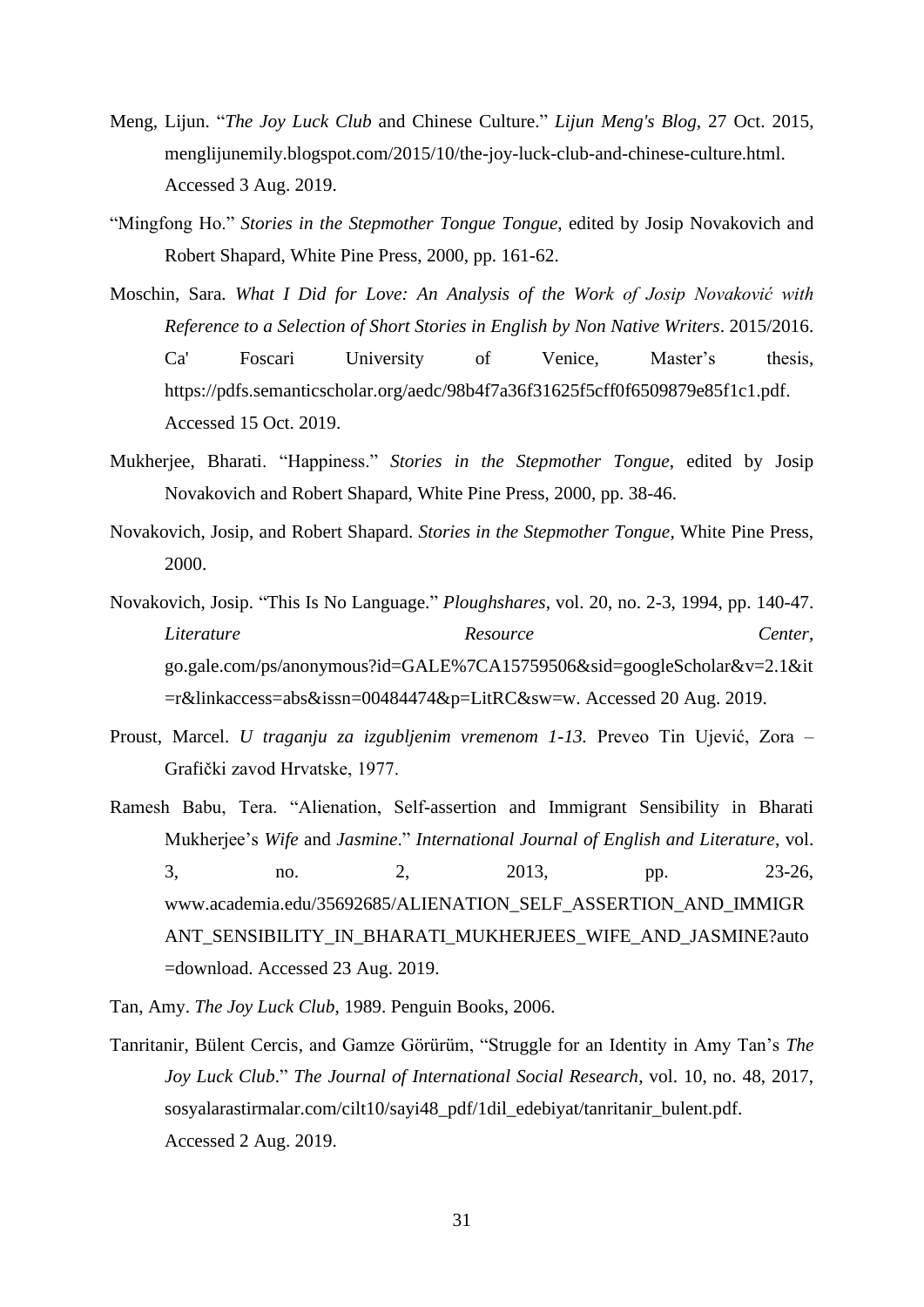- Meng, Lijun. "*The Joy Luck Club* and Chinese Culture." *Lijun [Meng's Blog](http://menglijunemily.blogspot.com/)*, 27 Oct. 2015, [menglijunemily.blogspot.com/2015/10/the-joy-luck-club-and-chinese-culture.html.](http://menglijunemily.blogspot.com/2015/10/the-joy-luck-club-and-chinese-culture.html) Accessed 3 Aug. 2019.
- "Mingfong Ho." *Stories in the Stepmother Tongue Tongue*, edited by Josip Novakovich and Robert Shapard, White Pine Press, 2000, pp. 161-62.
- Moschin, Sara. *What I Did for Love: An Analysis of the Work of Josip Novaković with Reference to a Selection of Short Stories in English by Non Native Writers*. 2015/2016. Ca' Foscari University of Venice, Master's thesis, [https://pdfs.semanticscholar.org/aedc/98b4f7a36f31625f5cff0f6509879e85f1c1.pdf.](https://pdfs.semanticscholar.org/aedc/98b4f7a36f31625f5cff0f6509879e85f1c1.pdf) Accessed 15 Oct. 2019.
- Mukherjee, Bharati. "Happiness." *Stories in the Stepmother Tongue*, edited by Josip Novakovich and Robert Shapard, White Pine Press, 2000, pp. 38-46.
- Novakovich, Josip, and Robert Shapard. *Stories in the Stepmother Tongue,* White Pine Press, 2000.
- Novakovich, Josip. "This Is No Language." *Ploughshares*, vol. 20, no. 2-3, 1994, pp. 140-47. *Literature Resource Center*, go.gale.com/ps/anonymous?id=GALE%7CA15759506&sid=googleScholar&v=2.1&it =r&linkaccess=abs&issn=00484474&p=LitRC&sw=w. Accessed 20 Aug. 2019.
- Proust, Marcel. *U traganju za izgubljenim vremenom 1-13.* Preveo Tin Ujević, Zora Grafički zavod Hrvatske, 1977.
- Ramesh Babu, Tera. "Alienation, Self-assertion and Immigrant Sensibility in Bharati Mukherjee's *Wife* and *Jasmine*." *International Journal of English and Literature*, vol. 3, no. 2, 2013, pp. 23-26, www.academia.edu/35692685/ALIENATION\_SELF\_ASSERTION\_AND\_IMMIGR ANT\_SENSIBILITY\_IN\_BHARATI\_MUKHERJEES\_WIFE\_AND\_JASMINE?auto =download. Accessed 23 Aug. 2019.

Tan, Amy. *The Joy Luck Club*, 1989. Penguin Books, 2006.

Tanritanir, Bülent Cercis, and Gamze Görürüm, "Struggle for an Identity in Amy Tan's *The Joy Luck Club*." *The Journal of International Social Research*, vol. 10, no. 48, 2017, [sosyalarastirmalar.com/cilt10/sayi48\\_pdf/1dil\\_edebiyat/tanritanir\\_bulent.pdf.](http://sosyalarastirmalar.com/cilt10/sayi48_pdf/1dil_edebiyat/tanritanir_bulent.pdf) Accessed 2 Aug. 2019.